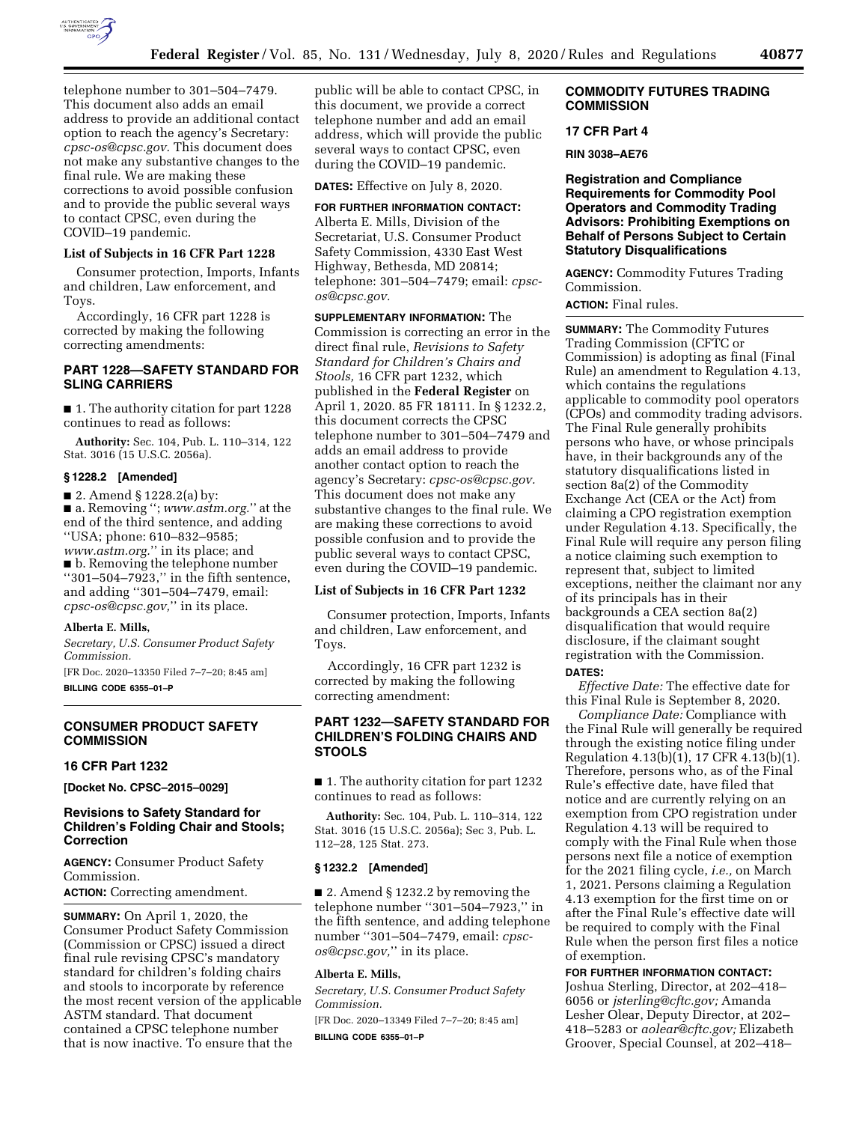

telephone number to 301–504–7479. This document also adds an email address to provide an additional contact option to reach the agency's Secretary: *[cpsc-os@cpsc.gov.](mailto:cpsc-os@cpsc.gov)* This document does not make any substantive changes to the final rule. We are making these corrections to avoid possible confusion and to provide the public several ways to contact CPSC, even during the COVID–19 pandemic.

### **List of Subjects in 16 CFR Part 1228**

Consumer protection, Imports, Infants and children, Law enforcement, and Toys.

Accordingly, 16 CFR part 1228 is corrected by making the following correcting amendments:

## **PART 1228—SAFETY STANDARD FOR SLING CARRIERS**

■ 1. The authority citation for part 1228 continues to read as follows:

**Authority:** Sec. 104, Pub. L. 110–314, 122 Stat. 3016 (15 U.S.C. 2056a).

### **§ 1228.2 [Amended]**

■ 2. Amend § 1228.2(a) by: ■ a. Removing ''; *[www.astm.org.](http://www.astm.org.)*'' at the end of the third sentence, and adding ''USA; phone: 610–832–9585; *[www.astm.org.](http://www.astm.org.)*'' in its place; and ■ b. Removing the telephone number ''301–504–7923,'' in the fifth sentence, and adding ''301–504–7479, email: *[cpsc-os@cpsc.gov,](mailto:cpsc-os@cpsc.gov)*'' in its place.

#### **Alberta E. Mills,**

*Secretary, U.S. Consumer Product Safety Commission.* 

[FR Doc. 2020–13350 Filed 7–7–20; 8:45 am] **BILLING CODE 6355–01–P** 

## **CONSUMER PRODUCT SAFETY COMMISSION**

#### **16 CFR Part 1232**

**[Docket No. CPSC–2015–0029]** 

## **Revisions to Safety Standard for Children's Folding Chair and Stools; Correction**

**AGENCY:** Consumer Product Safety Commission.

**ACTION:** Correcting amendment.

**SUMMARY:** On April 1, 2020, the Consumer Product Safety Commission (Commission or CPSC) issued a direct final rule revising CPSC's mandatory standard for children's folding chairs and stools to incorporate by reference the most recent version of the applicable ASTM standard. That document contained a CPSC telephone number that is now inactive. To ensure that the

public will be able to contact CPSC, in this document, we provide a correct telephone number and add an email address, which will provide the public several ways to contact CPSC, even during the COVID–19 pandemic.

**DATES:** Effective on July 8, 2020.

**FOR FURTHER INFORMATION CONTACT:**  Alberta E. Mills, Division of the Secretariat, U.S. Consumer Product Safety Commission, 4330 East West Highway, Bethesda, MD 20814; telephone: 301–504–7479; email: *[cpsc](mailto:cpsc-os@cpsc.gov)[os@cpsc.gov.](mailto:cpsc-os@cpsc.gov)* 

**SUPPLEMENTARY INFORMATION:** The Commission is correcting an error in the direct final rule, *Revisions to Safety Standard for Children's Chairs and Stools,* 16 CFR part 1232, which published in the **Federal Register** on April 1, 2020. 85 FR 18111. In § 1232.2, this document corrects the CPSC telephone number to 301–504–7479 and adds an email address to provide another contact option to reach the agency's Secretary: *[cpsc-os@cpsc.gov.](mailto:cpsc-os@cpsc.gov)*  This document does not make any substantive changes to the final rule. We are making these corrections to avoid possible confusion and to provide the public several ways to contact CPSC, even during the COVID–19 pandemic.

#### **List of Subjects in 16 CFR Part 1232**

Consumer protection, Imports, Infants and children, Law enforcement, and Toys.

Accordingly, 16 CFR part 1232 is corrected by making the following correcting amendment:

## **PART 1232—SAFETY STANDARD FOR CHILDREN'S FOLDING CHAIRS AND STOOLS**

■ 1. The authority citation for part 1232 continues to read as follows:

**Authority:** Sec. 104, Pub. L. 110–314, 122 Stat. 3016 (15 U.S.C. 2056a); Sec 3, Pub. L. 112–28, 125 Stat. 273.

#### **§ 1232.2 [Amended]**

■ 2. Amend § 1232.2 by removing the telephone number ''301–504–7923,'' in the fifth sentence, and adding telephone number ''301–504–7479, email: *[cpsc](mailto:cpsc-os@cpsc.gov)[os@cpsc.gov,](mailto:cpsc-os@cpsc.gov)*'' in its place.

## **Alberta E. Mills,**

*Secretary, U.S. Consumer Product Safety Commission.* 

[FR Doc. 2020–13349 Filed 7–7–20; 8:45 am]

**BILLING CODE 6355–01–P** 

### **COMMODITY FUTURES TRADING COMMISSION**

### **17 CFR Part 4**

**RIN 3038–AE76** 

**Registration and Compliance Requirements for Commodity Pool Operators and Commodity Trading Advisors: Prohibiting Exemptions on Behalf of Persons Subject to Certain Statutory Disqualifications** 

**AGENCY:** Commodity Futures Trading Commission.

**ACTION:** Final rules.

**SUMMARY:** The Commodity Futures Trading Commission (CFTC or Commission) is adopting as final (Final Rule) an amendment to Regulation 4.13, which contains the regulations applicable to commodity pool operators (CPOs) and commodity trading advisors. The Final Rule generally prohibits persons who have, or whose principals have, in their backgrounds any of the statutory disqualifications listed in section 8a(2) of the Commodity Exchange Act (CEA or the Act) from claiming a CPO registration exemption under Regulation 4.13. Specifically, the Final Rule will require any person filing a notice claiming such exemption to represent that, subject to limited exceptions, neither the claimant nor any of its principals has in their backgrounds a CEA section 8a(2) disqualification that would require disclosure, if the claimant sought registration with the Commission. **DATES:** 

*Effective Date:* The effective date for this Final Rule is September 8, 2020.

*Compliance Date:* Compliance with the Final Rule will generally be required through the existing notice filing under Regulation 4.13(b)(1), 17 CFR 4.13(b)(1). Therefore, persons who, as of the Final Rule's effective date, have filed that notice and are currently relying on an exemption from CPO registration under Regulation 4.13 will be required to comply with the Final Rule when those persons next file a notice of exemption for the 2021 filing cycle, *i.e.,* on March 1, 2021. Persons claiming a Regulation 4.13 exemption for the first time on or after the Final Rule's effective date will be required to comply with the Final Rule when the person first files a notice of exemption.

**FOR FURTHER INFORMATION CONTACT:** 

Joshua Sterling, Director, at 202–418– 6056 or *[jsterling@cftc.gov;](mailto:jsterling@cftc.gov)* Amanda Lesher Olear, Deputy Director, at 202– 418–5283 or *[aolear@cftc.gov;](mailto:aolear@cftc.gov)* Elizabeth Groover, Special Counsel, at 202–418–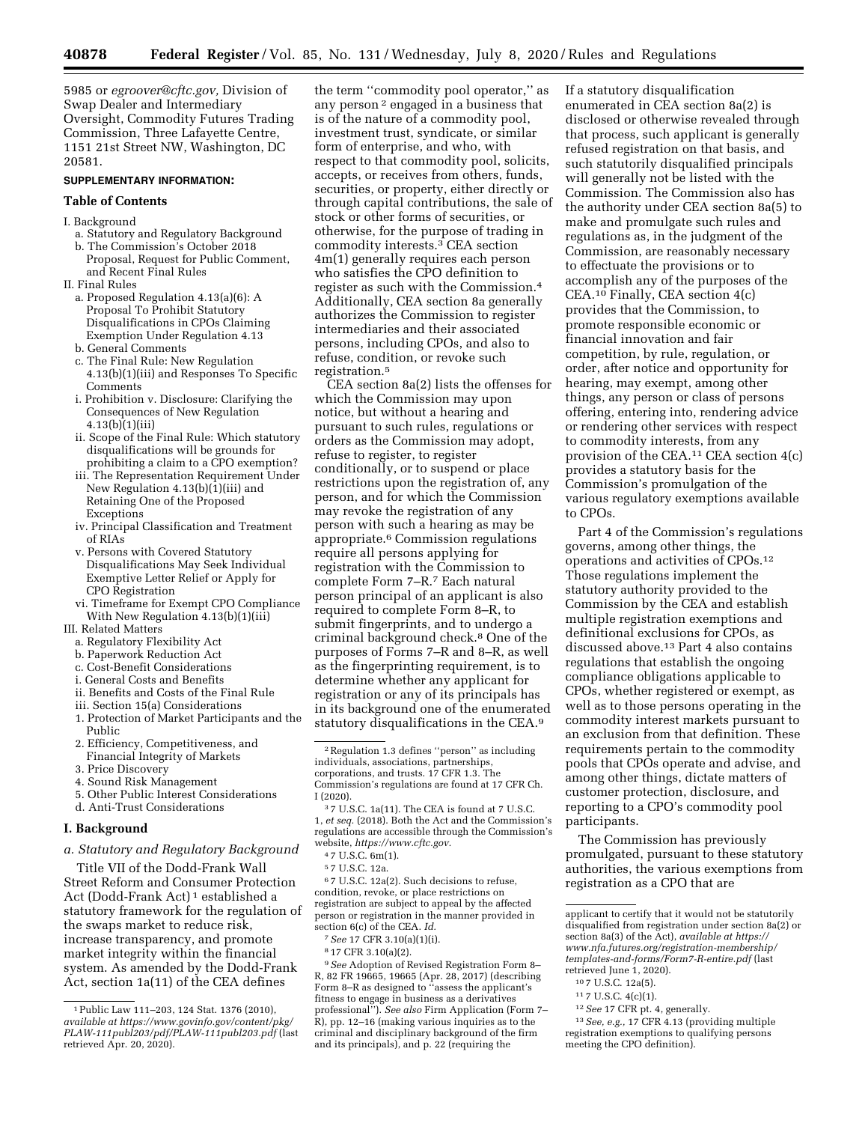5985 or *[egroover@cftc.gov,](mailto:egroover@cftc.gov)* Division of Swap Dealer and Intermediary Oversight, Commodity Futures Trading Commission, Three Lafayette Centre, 1151 21st Street NW, Washington, DC 20581.

#### **SUPPLEMENTARY INFORMATION:**

#### **Table of Contents**

I. Background

- a. Statutory and Regulatory Background
- b. The Commission's October 2018 Proposal, Request for Public Comment, and Recent Final Rules
- II. Final Rules
	- a. Proposed Regulation 4.13(a)(6): A Proposal To Prohibit Statutory Disqualifications in CPOs Claiming Exemption Under Regulation 4.13 b. General Comments
	-
	- c. The Final Rule: New Regulation 4.13(b)(1)(iii) and Responses To Specific Comments
	- i. Prohibition v. Disclosure: Clarifying the Consequences of New Regulation 4.13(b)(1)(iii)
	- ii. Scope of the Final Rule: Which statutory disqualifications will be grounds for prohibiting a claim to a CPO exemption?
	- iii. The Representation Requirement Under New Regulation  $4.13(b)(1)(iii)$  and Retaining One of the Proposed Exceptions
	- iv. Principal Classification and Treatment of RIAs
	- v. Persons with Covered Statutory Disqualifications May Seek Individual Exemptive Letter Relief or Apply for CPO Registration
	- vi. Timeframe for Exempt CPO Compliance With New Regulation 4.13(b)(1)(iii)
- III. Related Matters
	- a. Regulatory Flexibility Act
	- b. Paperwork Reduction Act
	- c. Cost-Benefit Considerations
	- i. General Costs and Benefits
	- ii. Benefits and Costs of the Final Rule
	- iii. Section 15(a) Considerations
	- 1. Protection of Market Participants and the Public
	- 2. Efficiency, Competitiveness, and Financial Integrity of Markets
	- 3. Price Discovery
	- 4. Sound Risk Management
	- 5. Other Public Interest Considerations
	- d. Anti-Trust Considerations

### **I. Background**

*a. Statutory and Regulatory Background* 

Title VII of the Dodd-Frank Wall Street Reform and Consumer Protection Act (Dodd-Frank Act) 1 established a statutory framework for the regulation of the swaps market to reduce risk, increase transparency, and promote market integrity within the financial system. As amended by the Dodd-Frank Act, section 1a(11) of the CEA defines

the term ''commodity pool operator,'' as any person 2 engaged in a business that is of the nature of a commodity pool, investment trust, syndicate, or similar form of enterprise, and who, with respect to that commodity pool, solicits, accepts, or receives from others, funds, securities, or property, either directly or through capital contributions, the sale of stock or other forms of securities, or otherwise, for the purpose of trading in commodity interests.3 CEA section 4m(1) generally requires each person who satisfies the CPO definition to register as such with the Commission.4 Additionally, CEA section 8a generally authorizes the Commission to register intermediaries and their associated persons, including CPOs, and also to refuse, condition, or revoke such registration.5

CEA section 8a(2) lists the offenses for which the Commission may upon notice, but without a hearing and pursuant to such rules, regulations or orders as the Commission may adopt, refuse to register, to register conditionally, or to suspend or place restrictions upon the registration of, any person, and for which the Commission may revoke the registration of any person with such a hearing as may be appropriate.6 Commission regulations require all persons applying for registration with the Commission to complete Form 7–R.7 Each natural person principal of an applicant is also required to complete Form 8–R, to submit fingerprints, and to undergo a criminal background check.8 One of the purposes of Forms 7–R and 8–R, as well as the fingerprinting requirement, is to determine whether any applicant for registration or any of its principals has in its background one of the enumerated statutory disqualifications in the CEA.9

6 7 U.S.C. 12a(2). Such decisions to refuse, condition, revoke, or place restrictions on registration are subject to appeal by the affected person or registration in the manner provided in section 6(c) of the CEA. *Id.* 

9*See* Adoption of Revised Registration Form 8– R, 82 FR 19665, 19665 (Apr. 28, 2017) (describing Form 8–R as designed to ''assess the applicant's fitness to engage in business as a derivatives professional''). *See also* Firm Application (Form 7– R), pp. 12–16 (making various inquiries as to the criminal and disciplinary background of the firm and its principals), and p. 22 (requiring the

If a statutory disqualification enumerated in CEA section 8a(2) is disclosed or otherwise revealed through that process, such applicant is generally refused registration on that basis, and such statutorily disqualified principals will generally not be listed with the Commission. The Commission also has the authority under CEA section 8a(5) to make and promulgate such rules and regulations as, in the judgment of the Commission, are reasonably necessary to effectuate the provisions or to accomplish any of the purposes of the CEA.10 Finally, CEA section 4(c) provides that the Commission, to promote responsible economic or financial innovation and fair competition, by rule, regulation, or order, after notice and opportunity for hearing, may exempt, among other things, any person or class of persons offering, entering into, rendering advice or rendering other services with respect to commodity interests, from any provision of the CEA.11 CEA section 4(c) provides a statutory basis for the Commission's promulgation of the various regulatory exemptions available to CPOs.

Part 4 of the Commission's regulations governs, among other things, the operations and activities of CPOs.12 Those regulations implement the statutory authority provided to the Commission by the CEA and establish multiple registration exemptions and definitional exclusions for CPOs, as discussed above.13 Part 4 also contains regulations that establish the ongoing compliance obligations applicable to CPOs, whether registered or exempt, as well as to those persons operating in the commodity interest markets pursuant to an exclusion from that definition. These requirements pertain to the commodity pools that CPOs operate and advise, and among other things, dictate matters of customer protection, disclosure, and reporting to a CPO's commodity pool participants.

The Commission has previously promulgated, pursuant to these statutory authorities, the various exemptions from registration as a CPO that are

- 10 7 U.S.C. 12a(5).
- 11 7 U.S.C. 4(c)(1).
- 12*See* 17 CFR pt. 4, generally.

<sup>1</sup>Public Law 111–203, 124 Stat. 1376 (2010), *available at [https://www.govinfo.gov/content/pkg/](https://www.govinfo.gov/content/pkg/PLAW-111publ203/pdf/PLAW-111publ203.pdf)  [PLAW-111publ203/pdf/PLAW-111publ203.pdf](https://www.govinfo.gov/content/pkg/PLAW-111publ203/pdf/PLAW-111publ203.pdf)* (last retrieved  $Apr. 20, 2020$ ).

<sup>2</sup>Regulation 1.3 defines ''person'' as including individuals, associations, partnerships, corporations, and trusts. 17 CFR 1.3. The Commission's regulations are found at 17 CFR Ch. I (2020).

<sup>3</sup> 7 U.S.C. 1a(11). The CEA is found at 7 U.S.C. 1, *et seq.* (2018). Both the Act and the Commission's regulations are accessible through the Commission's website, *[https://www.cftc.gov.](https://www.cftc.gov)* 

<sup>4</sup> 7 U.S.C. 6m(1).

<sup>5</sup> 7 U.S.C. 12a.

<sup>7</sup>*See* 17 CFR 3.10(a)(1)(i).

<sup>8</sup> 17 CFR 3.10(a)(2).

applicant to certify that it would not be statutorily disqualified from registration under section 8a(2) or section 8a(3) of the Act), *available at [https://](https://www.nfa.futures.org/registration-membership/templates-and-forms/Form7-R-entire.pdf) [www.nfa.futures.org/registration-membership/](https://www.nfa.futures.org/registration-membership/templates-and-forms/Form7-R-entire.pdf) [templates-and-forms/Form7-R-entire.pdf](https://www.nfa.futures.org/registration-membership/templates-and-forms/Form7-R-entire.pdf)* (last retrieved June 1, 2020).

<sup>13</sup>*See, e.g.,* 17 CFR 4.13 (providing multiple registration exemptions to qualifying persons meeting the CPO definition).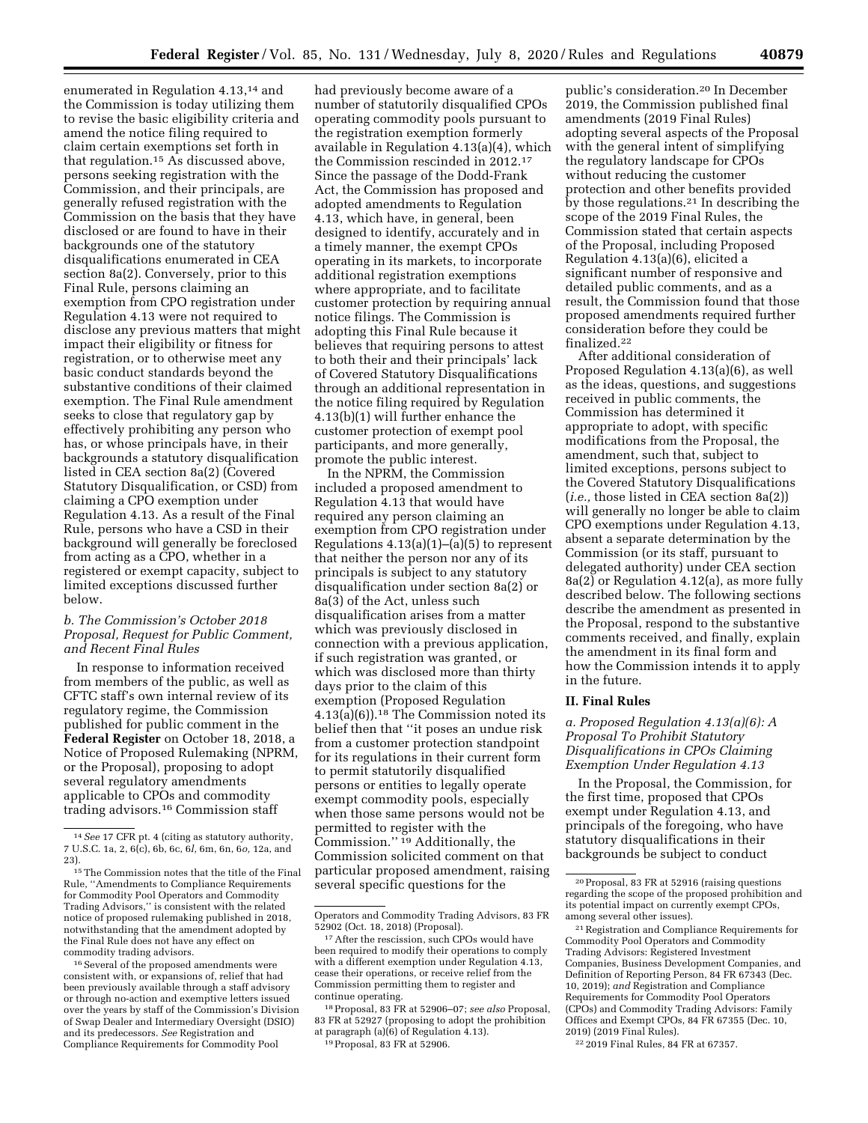enumerated in Regulation 4.13,14 and the Commission is today utilizing them to revise the basic eligibility criteria and amend the notice filing required to claim certain exemptions set forth in that regulation.15 As discussed above, persons seeking registration with the Commission, and their principals, are generally refused registration with the Commission on the basis that they have disclosed or are found to have in their backgrounds one of the statutory disqualifications enumerated in CEA section 8a(2). Conversely, prior to this Final Rule, persons claiming an exemption from CPO registration under Regulation 4.13 were not required to disclose any previous matters that might impact their eligibility or fitness for registration, or to otherwise meet any basic conduct standards beyond the substantive conditions of their claimed exemption. The Final Rule amendment seeks to close that regulatory gap by effectively prohibiting any person who has, or whose principals have, in their backgrounds a statutory disqualification listed in CEA section 8a(2) (Covered Statutory Disqualification, or CSD) from claiming a CPO exemption under Regulation 4.13. As a result of the Final Rule, persons who have a CSD in their background will generally be foreclosed from acting as a CPO, whether in a registered or exempt capacity, subject to limited exceptions discussed further below.

## *b. The Commission's October 2018 Proposal, Request for Public Comment, and Recent Final Rules*

In response to information received from members of the public, as well as CFTC staff's own internal review of its regulatory regime, the Commission published for public comment in the **Federal Register** on October 18, 2018, a Notice of Proposed Rulemaking (NPRM, or the Proposal), proposing to adopt several regulatory amendments applicable to CPOs and commodity trading advisors.16 Commission staff

had previously become aware of a number of statutorily disqualified CPOs operating commodity pools pursuant to the registration exemption formerly available in Regulation 4.13(a)(4), which the Commission rescinded in 2012.17 Since the passage of the Dodd-Frank Act, the Commission has proposed and adopted amendments to Regulation 4.13, which have, in general, been designed to identify, accurately and in a timely manner, the exempt CPOs operating in its markets, to incorporate additional registration exemptions where appropriate, and to facilitate customer protection by requiring annual notice filings. The Commission is adopting this Final Rule because it believes that requiring persons to attest to both their and their principals' lack of Covered Statutory Disqualifications through an additional representation in the notice filing required by Regulation 4.13(b)(1) will further enhance the customer protection of exempt pool participants, and more generally, promote the public interest.

In the NPRM, the Commission included a proposed amendment to Regulation 4.13 that would have required any person claiming an exemption from CPO registration under Regulations 4.13(a)(1)–(a)(5) to represent that neither the person nor any of its principals is subject to any statutory disqualification under section 8a(2) or 8a(3) of the Act, unless such disqualification arises from a matter which was previously disclosed in connection with a previous application, if such registration was granted, or which was disclosed more than thirty days prior to the claim of this exemption (Proposed Regulation 4.13(a)(6)).18 The Commission noted its belief then that ''it poses an undue risk from a customer protection standpoint for its regulations in their current form to permit statutorily disqualified persons or entities to legally operate exempt commodity pools, especially when those same persons would not be permitted to register with the Commission.'' 19 Additionally, the Commission solicited comment on that particular proposed amendment, raising several specific questions for the

public's consideration.20 In December 2019, the Commission published final amendments (2019 Final Rules) adopting several aspects of the Proposal with the general intent of simplifying the regulatory landscape for CPOs without reducing the customer protection and other benefits provided by those regulations.21 In describing the scope of the 2019 Final Rules, the Commission stated that certain aspects of the Proposal, including Proposed Regulation 4.13(a)(6), elicited a significant number of responsive and detailed public comments, and as a result, the Commission found that those proposed amendments required further consideration before they could be finalized.22

After additional consideration of Proposed Regulation 4.13(a)(6), as well as the ideas, questions, and suggestions received in public comments, the Commission has determined it appropriate to adopt, with specific modifications from the Proposal, the amendment, such that, subject to limited exceptions, persons subject to the Covered Statutory Disqualifications (*i.e.,* those listed in CEA section 8a(2)) will generally no longer be able to claim CPO exemptions under Regulation 4.13, absent a separate determination by the Commission (or its staff, pursuant to delegated authority) under CEA section 8a(2) or Regulation 4.12(a), as more fully described below. The following sections describe the amendment as presented in the Proposal, respond to the substantive comments received, and finally, explain the amendment in its final form and how the Commission intends it to apply in the future.

# **II. Final Rules**

## *a. Proposed Regulation 4.13(a)(6): A Proposal To Prohibit Statutory Disqualifications in CPOs Claiming Exemption Under Regulation 4.13*

In the Proposal, the Commission, for the first time, proposed that CPOs exempt under Regulation 4.13, and principals of the foregoing, who have statutory disqualifications in their backgrounds be subject to conduct

22 2019 Final Rules, 84 FR at 67357.

<sup>14</sup>*See* 17 CFR pt. 4 (citing as statutory authority, 7 U.S.C. 1a, 2, 6(c), 6b, 6c, 6*l,* 6m, 6n, 6*o,* 12a, and 23).

<sup>15</sup>The Commission notes that the title of the Final Rule, ''Amendments to Compliance Requirements for Commodity Pool Operators and Commodity Trading Advisors,'' is consistent with the related notice of proposed rulemaking published in 2018, notwithstanding that the amendment adopted by the Final Rule does not have any effect on commodity trading advisors.

<sup>&</sup>lt;sup>16</sup> Several of the proposed amendments were consistent with, or expansions of, relief that had been previously available through a staff advisory or through no-action and exemptive letters issued over the years by staff of the Commission's Division of Swap Dealer and Intermediary Oversight (DSIO) and its predecessors. *See* Registration and Compliance Requirements for Commodity Pool

Operators and Commodity Trading Advisors, 83 FR 52902 (Oct. 18, 2018) (Proposal).

<sup>17</sup>After the rescission, such CPOs would have been required to modify their operations to comply with a different exemption under Regulation 4.13, cease their operations, or receive relief from the Commission permitting them to register and continue operating.

<sup>18</sup>Proposal, 83 FR at 52906–07; *see also* Proposal, 83 FR at 52927 (proposing to adopt the prohibition at paragraph (a)(6) of Regulation 4.13).

<sup>19</sup>Proposal, 83 FR at 52906.

<sup>20</sup>Proposal, 83 FR at 52916 (raising questions regarding the scope of the proposed prohibition and its potential impact on currently exempt CPOs, among several other issues).

<sup>21</sup>Registration and Compliance Requirements for Commodity Pool Operators and Commodity Trading Advisors: Registered Investment Companies, Business Development Companies, and Definition of Reporting Person, 84 FR 67343 (Dec. 10, 2019); *and* Registration and Compliance Requirements for Commodity Pool Operators (CPOs) and Commodity Trading Advisors: Family Offices and Exempt CPOs, 84 FR 67355 (Dec. 10, 2019) (2019 Final Rules).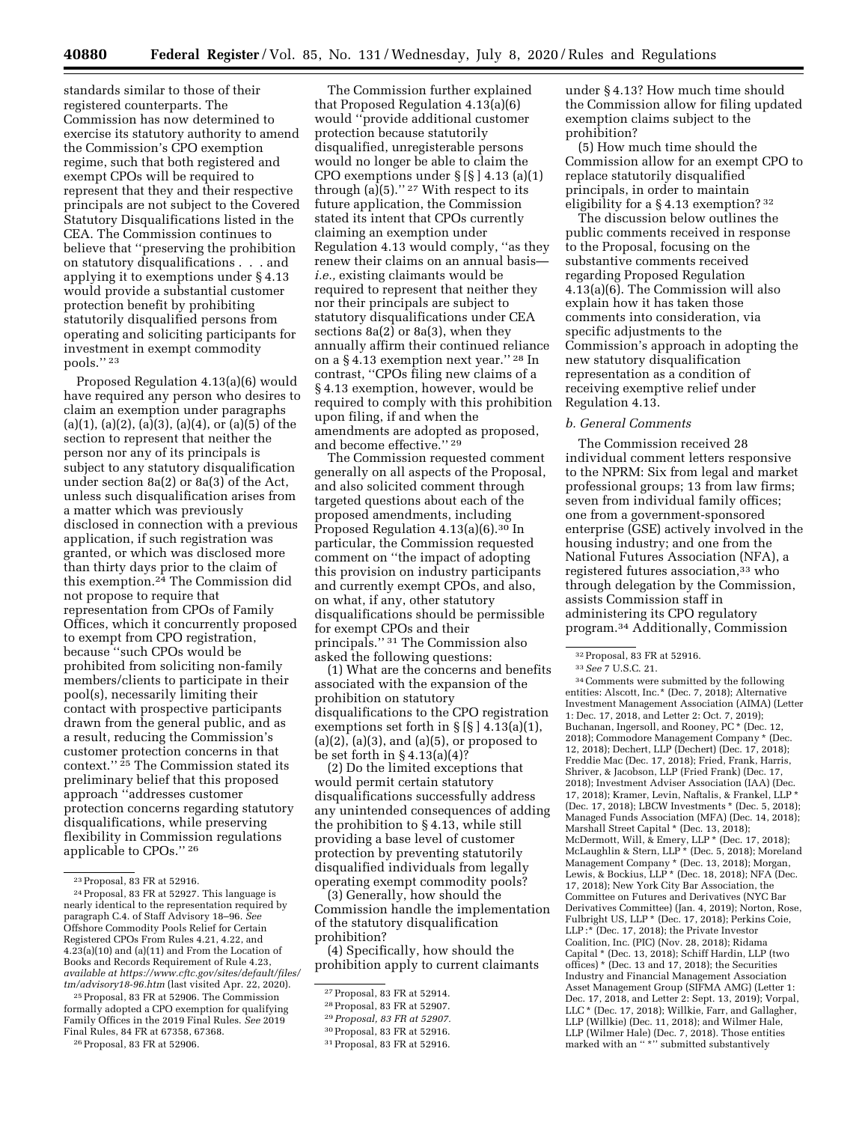standards similar to those of their registered counterparts. The Commission has now determined to exercise its statutory authority to amend the Commission's CPO exemption regime, such that both registered and exempt CPOs will be required to represent that they and their respective principals are not subject to the Covered Statutory Disqualifications listed in the CEA. The Commission continues to believe that ''preserving the prohibition on statutory disqualifications . . . and applying it to exemptions under § 4.13 would provide a substantial customer protection benefit by prohibiting statutorily disqualified persons from operating and soliciting participants for investment in exempt commodity pools.'' 23

Proposed Regulation 4.13(a)(6) would have required any person who desires to claim an exemption under paragraphs  $(a)(1), (a)(2), (a)(3), (a)(4),$  or  $(a)(5)$  of the section to represent that neither the person nor any of its principals is subject to any statutory disqualification under section 8a(2) or 8a(3) of the Act, unless such disqualification arises from a matter which was previously disclosed in connection with a previous application, if such registration was granted, or which was disclosed more than thirty days prior to the claim of this exemption.24 The Commission did not propose to require that representation from CPOs of Family Offices, which it concurrently proposed to exempt from CPO registration, because ''such CPOs would be prohibited from soliciting non-family members/clients to participate in their pool(s), necessarily limiting their contact with prospective participants drawn from the general public, and as a result, reducing the Commission's customer protection concerns in that context.'' 25 The Commission stated its preliminary belief that this proposed approach ''addresses customer protection concerns regarding statutory disqualifications, while preserving flexibility in Commission regulations applicable to CPOs.'' 26

25Proposal, 83 FR at 52906. The Commission formally adopted a CPO exemption for qualifying Family Offices in the 2019 Final Rules. *See* 2019 Final Rules, 84 FR at 67358, 67368.

26Proposal, 83 FR at 52906.

The Commission further explained that Proposed Regulation 4.13(a)(6) would ''provide additional customer protection because statutorily disqualified, unregisterable persons would no longer be able to claim the CPO exemptions under  $\S$   $\S$   $\S$   $\geq$  4.13 (a)(1) through  $(a)(5)$ ."<sup>27</sup> With respect to its future application, the Commission stated its intent that CPOs currently claiming an exemption under Regulation 4.13 would comply, ''as they renew their claims on an annual basis *i.e.,* existing claimants would be required to represent that neither they nor their principals are subject to statutory disqualifications under CEA sections 8a(2) or 8a(3), when they annually affirm their continued reliance on a § 4.13 exemption next year.'' 28 In contrast, ''CPOs filing new claims of a § 4.13 exemption, however, would be required to comply with this prohibition upon filing, if and when the amendments are adopted as proposed, and become effective.'' 29

The Commission requested comment generally on all aspects of the Proposal, and also solicited comment through targeted questions about each of the proposed amendments, including Proposed Regulation 4.13(a)(6).30 In particular, the Commission requested comment on ''the impact of adopting this provision on industry participants and currently exempt CPOs, and also, on what, if any, other statutory disqualifications should be permissible for exempt CPOs and their principals.'' 31 The Commission also asked the following questions:

(1) What are the concerns and benefits associated with the expansion of the prohibition on statutory disqualifications to the CPO registration exemptions set forth in  $\S$  [ $\S$ ] 4.13(a)(1),  $(a)(2)$ ,  $(a)(3)$ , and  $(a)(5)$ , or proposed to be set forth in  $\S 4.13(a)(4)$ ?

(2) Do the limited exceptions that would permit certain statutory disqualifications successfully address any unintended consequences of adding the prohibition to § 4.13, while still providing a base level of customer protection by preventing statutorily disqualified individuals from legally operating exempt commodity pools?

(3) Generally, how should the Commission handle the implementation of the statutory disqualification prohibition?

(4) Specifically, how should the prohibition apply to current claimants

29*Proposal, 83 FR at 52907.* 

under § 4.13? How much time should the Commission allow for filing updated exemption claims subject to the prohibition?

(5) How much time should the Commission allow for an exempt CPO to replace statutorily disqualified principals, in order to maintain eligibility for a § 4.13 exemption? 32

The discussion below outlines the public comments received in response to the Proposal, focusing on the substantive comments received regarding Proposed Regulation 4.13(a)(6). The Commission will also explain how it has taken those comments into consideration, via specific adjustments to the Commission's approach in adopting the new statutory disqualification representation as a condition of receiving exemptive relief under Regulation 4.13.

### *b. General Comments*

The Commission received 28 individual comment letters responsive to the NPRM: Six from legal and market professional groups; 13 from law firms; seven from individual family offices; one from a government-sponsored enterprise (GSE) actively involved in the housing industry; and one from the National Futures Association (NFA), a registered futures association,<sup>33</sup> who through delegation by the Commission, assists Commission staff in administering its CPO regulatory program.34 Additionally, Commission

34Comments were submitted by the following entities: Alscott, Inc.\* (Dec. 7, 2018); Alternative Investment Management Association (AIMA) (Letter 1: Dec. 17, 2018, and Letter 2: Oct. 7, 2019); Buchanan, Ingersoll, and Rooney, PC \* (Dec. 12, 2018); Commodore Management Company \* (Dec. 12, 2018); Dechert, LLP (Dechert) (Dec. 17, 2018); Freddie Mac (Dec. 17, 2018); Fried, Frank, Harris, Shriver, & Jacobson, LLP (Fried Frank) (Dec. 17, 2018); Investment Adviser Association (IAA) (Dec. 17, 2018); Kramer, Levin, Naftalis, & Frankel, LLP \* (Dec. 17, 2018); LBCW Investments \* (Dec. 5, 2018); Managed Funds Association (MFA) (Dec. 14, 2018); Marshall Street Capital \* (Dec. 13, 2018); McDermott, Will, & Emery, LLP \* (Dec. 17, 2018); McLaughlin & Stern, LLP \* (Dec. 5, 2018); Moreland Management Company \* (Dec. 13, 2018); Morgan, Lewis, & Bockius, LLP \* (Dec. 18, 2018); NFA (Dec. 17, 2018); New York City Bar Association, the Committee on Futures and Derivatives (NYC Bar Derivatives Committee) (Jan. 4, 2019); Norton, Rose, Fulbright US, LLP \* (Dec. 17, 2018); Perkins Coie, LLP :\* (Dec. 17, 2018); the Private Investor Coalition, Inc. (PIC) (Nov. 28, 2018); Ridama Capital \* (Dec. 13, 2018); Schiff Hardin, LLP (two offices) \* (Dec. 13 and 17, 2018); the Securities Industry and Financial Management Association Asset Management Group (SIFMA AMG) (Letter 1: Dec. 17, 2018, and Letter 2: Sept. 13, 2019); Vorpal, LLC \* (Dec. 17, 2018); Willkie, Farr, and Gallagher, LLP (Willkie) (Dec. 11, 2018); and Wilmer Hale, LLP (Wilmer Hale) (Dec. 7, 2018). Those entities marked with an '' \*'' submitted substantively

<sup>23</sup>Proposal, 83 FR at 52916.

<sup>24</sup>Proposal, 83 FR at 52927. This language is nearly identical to the representation required by paragraph C.4. of Staff Advisory 18–96. *See*  Offshore Commodity Pools Relief for Certain Registered CPOs From Rules 4.21, 4.22, and 4.23(a)(10) and (a)(11) and From the Location of Books and Records Requirement of Rule 4.23, *available at [https://www.cftc.gov/sites/default/files/](https://www.cftc.gov/sites/default/files/tm/advisory18-96.htm)  [tm/advisory18-96.htm](https://www.cftc.gov/sites/default/files/tm/advisory18-96.htm)* (last visited Apr. 22, 2020).

<sup>27</sup>Proposal, 83 FR at 52914.

<sup>28</sup>Proposal, 83 FR at 52907.

<sup>30</sup>Proposal, 83 FR at 52916.

<sup>31</sup>Proposal, 83 FR at 52916.

<sup>32</sup>Proposal, 83 FR at 52916.

<sup>33</sup>*See* 7 U.S.C. 21.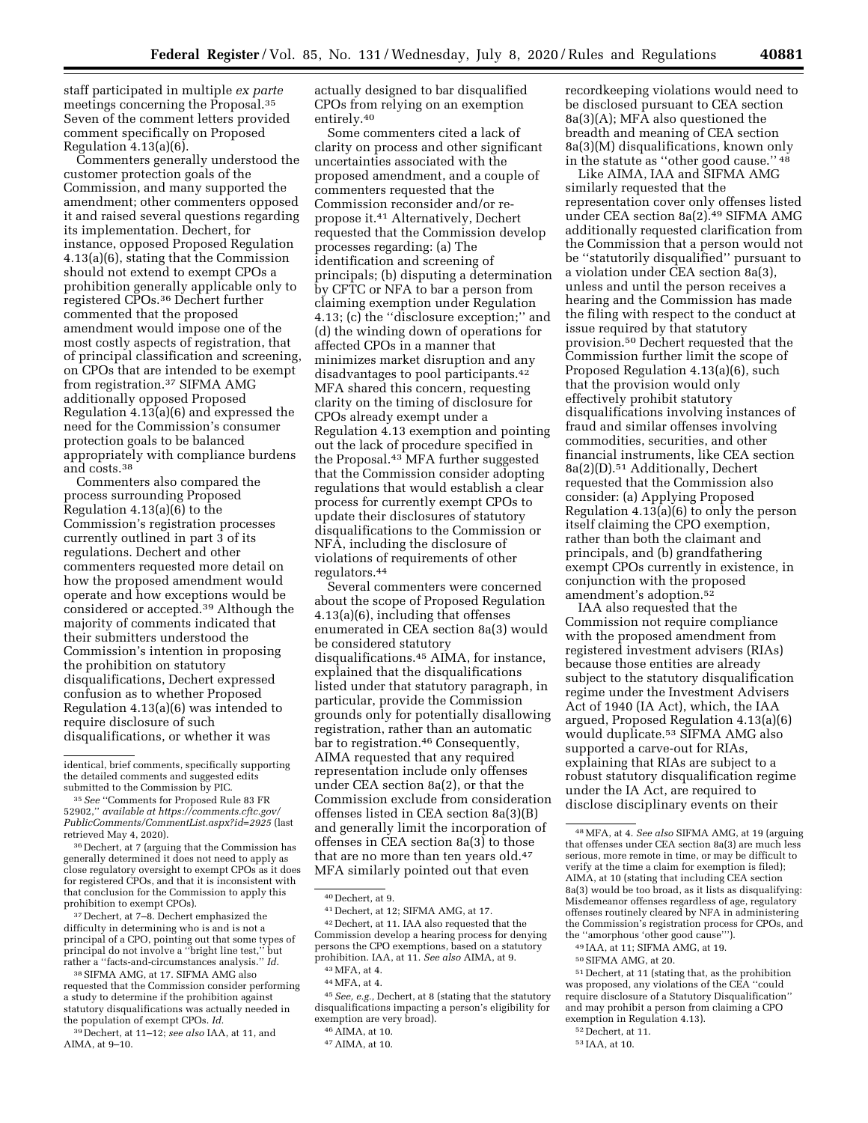staff participated in multiple *ex parte*  meetings concerning the Proposal.35 Seven of the comment letters provided comment specifically on Proposed Regulation 4.13(a)(6).

Commenters generally understood the customer protection goals of the Commission, and many supported the amendment; other commenters opposed it and raised several questions regarding its implementation. Dechert, for instance, opposed Proposed Regulation 4.13(a)(6), stating that the Commission should not extend to exempt CPOs a prohibition generally applicable only to registered CPOs.36 Dechert further commented that the proposed amendment would impose one of the most costly aspects of registration, that of principal classification and screening, on CPOs that are intended to be exempt from registration.37 SIFMA AMG additionally opposed Proposed Regulation 4.13(a)(6) and expressed the need for the Commission's consumer protection goals to be balanced appropriately with compliance burdens and costs.38

Commenters also compared the process surrounding Proposed Regulation  $4.13(a)(6)$  to the Commission's registration processes currently outlined in part 3 of its regulations. Dechert and other commenters requested more detail on how the proposed amendment would operate and how exceptions would be considered or accepted.39 Although the majority of comments indicated that their submitters understood the Commission's intention in proposing the prohibition on statutory disqualifications, Dechert expressed confusion as to whether Proposed Regulation 4.13(a)(6) was intended to require disclosure of such disqualifications, or whether it was

36 Dechert, at 7 (arguing that the Commission has generally determined it does not need to apply as close regulatory oversight to exempt CPOs as it does for registered CPOs, and that it is inconsistent with that conclusion for the Commission to apply this prohibition to exempt CPOs).

37 Dechert, at 7–8. Dechert emphasized the difficulty in determining who is and is not a principal of a CPO, pointing out that some types of principal do not involve a ''bright line test,'' but rather a ''facts-and-circumstances analysis.'' *Id.* 

38SIFMA AMG, at 17. SIFMA AMG also requested that the Commission consider performing a study to determine if the prohibition against statutory disqualifications was actually needed in the population of exempt CPOs. *Id.* 

39 Dechert, at 11–12; *see also* IAA, at 11, and AIMA, at 9–10.

actually designed to bar disqualified CPOs from relying on an exemption entirely.40

Some commenters cited a lack of clarity on process and other significant uncertainties associated with the proposed amendment, and a couple of commenters requested that the Commission reconsider and/or repropose it.41 Alternatively, Dechert requested that the Commission develop processes regarding: (a) The identification and screening of principals; (b) disputing a determination by CFTC or NFA to bar a person from claiming exemption under Regulation 4.13; (c) the ''disclosure exception;'' and (d) the winding down of operations for affected CPOs in a manner that minimizes market disruption and any disadvantages to pool participants.42 MFA shared this concern, requesting clarity on the timing of disclosure for CPOs already exempt under a Regulation 4.13 exemption and pointing out the lack of procedure specified in the Proposal.43 MFA further suggested that the Commission consider adopting regulations that would establish a clear process for currently exempt CPOs to update their disclosures of statutory disqualifications to the Commission or NFA, including the disclosure of violations of requirements of other regulators.44

Several commenters were concerned about the scope of Proposed Regulation 4.13(a)(6), including that offenses enumerated in CEA section 8a(3) would be considered statutory disqualifications.45 AIMA, for instance, explained that the disqualifications listed under that statutory paragraph, in particular, provide the Commission grounds only for potentially disallowing registration, rather than an automatic bar to registration.46 Consequently, AIMA requested that any required representation include only offenses under CEA section 8a(2), or that the Commission exclude from consideration offenses listed in CEA section 8a(3)(B) and generally limit the incorporation of offenses in CEA section 8a(3) to those that are no more than ten years old.47 MFA similarly pointed out that even

45*See, e.g.,* Dechert, at 8 (stating that the statutory disqualifications impacting a person's eligibility for exemption are very broad).

47AIMA, at 10.

recordkeeping violations would need to be disclosed pursuant to CEA section 8a(3)(A); MFA also questioned the breadth and meaning of CEA section 8a(3)(M) disqualifications, known only in the statute as ''other good cause.'' 48

Like AIMA, IAA and SIFMA AMG similarly requested that the representation cover only offenses listed under CEA section 8a(2).49 SIFMA AMG additionally requested clarification from the Commission that a person would not be ''statutorily disqualified'' pursuant to a violation under CEA section 8a(3), unless and until the person receives a hearing and the Commission has made the filing with respect to the conduct at issue required by that statutory provision.50 Dechert requested that the Commission further limit the scope of Proposed Regulation 4.13(a)(6), such that the provision would only effectively prohibit statutory disqualifications involving instances of fraud and similar offenses involving commodities, securities, and other financial instruments, like CEA section 8a(2)(D).51 Additionally, Dechert requested that the Commission also consider: (a) Applying Proposed Regulation 4.13(a)(6) to only the person itself claiming the CPO exemption, rather than both the claimant and principals, and (b) grandfathering exempt CPOs currently in existence, in conjunction with the proposed amendment's adoption.52

IAA also requested that the Commission not require compliance with the proposed amendment from registered investment advisers (RIAs) because those entities are already subject to the statutory disqualification regime under the Investment Advisers Act of 1940 (IA Act), which, the IAA argued, Proposed Regulation 4.13(a)(6) would duplicate.53 SIFMA AMG also supported a carve-out for RIAs, explaining that RIAs are subject to a robust statutory disqualification regime under the IA Act, are required to disclose disciplinary events on their

49 IAA, at 11; SIFMA AMG, at 19.

identical, brief comments, specifically supporting the detailed comments and suggested edits submitted to the Commission by PIC.

<sup>35</sup>*See* ''Comments for Proposed Rule 83 FR 52902,'' *available at [https://comments.cftc.gov/](https://comments.cftc.gov/PublicComments/CommentList.aspx?id=2925)  [PublicComments/CommentList.aspx?id=2925](https://comments.cftc.gov/PublicComments/CommentList.aspx?id=2925)* (last retrieved May 4, 2020).

<sup>40</sup> Dechert, at 9.

<sup>41</sup> Dechert, at 12; SIFMA AMG, at 17. 42 Dechert, at 11. IAA also requested that the Commission develop a hearing process for denying persons the CPO exemptions, based on a statutory prohibition. IAA, at 11. *See also* AIMA, at 9. 43MFA, at 4.

<sup>44</sup>MFA, at 4.

<sup>46</sup>AIMA, at 10.

<sup>48</sup>MFA, at 4. *See also* SIFMA AMG, at 19 (arguing that offenses under CEA section 8a(3) are much less serious, more remote in time, or may be difficult to verify at the time a claim for exemption is filed); AIMA, at 10 (stating that including CEA section 8a(3) would be too broad, as it lists as disqualifying: Misdemeanor offenses regardless of age, regulatory offenses routinely cleared by NFA in administering the Commission's registration process for CPOs, and the ''amorphous 'other good cause''').

<sup>50</sup>SIFMA AMG, at 20.

<sup>51</sup> Dechert, at 11 (stating that, as the prohibition was proposed, any violations of the CEA ''could require disclosure of a Statutory Disqualification'' and may prohibit a person from claiming a CPO exemption in Regulation 4.13).

<sup>52</sup> Dechert, at 11.

<sup>53</sup> IAA, at 10.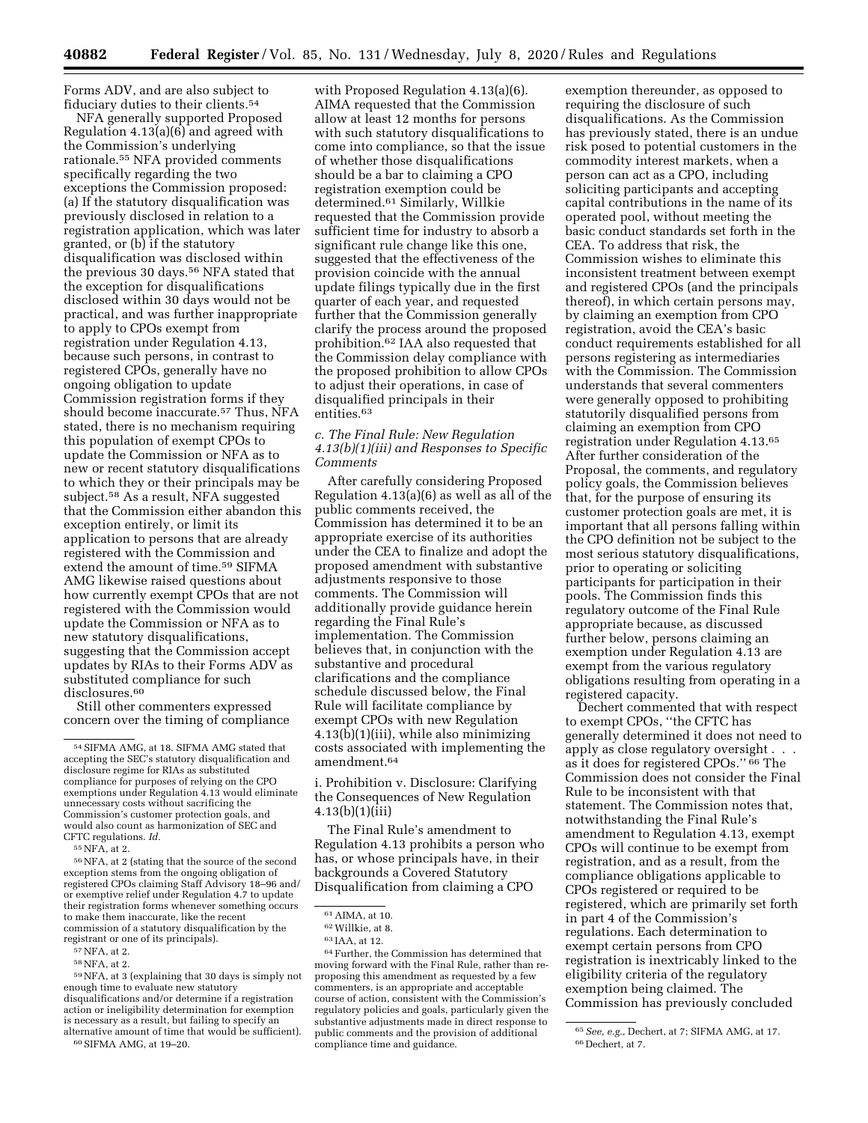Forms ADV, and are also subject to fiduciary duties to their clients.54

NFA generally supported Proposed Regulation 4.13(a)(6) and agreed with the Commission's underlying rationale.55 NFA provided comments specifically regarding the two exceptions the Commission proposed: (a) If the statutory disqualification was previously disclosed in relation to a registration application, which was later granted, or (b) if the statutory disqualification was disclosed within the previous 30 days.56 NFA stated that the exception for disqualifications disclosed within 30 days would not be practical, and was further inappropriate to apply to CPOs exempt from registration under Regulation 4.13, because such persons, in contrast to registered CPOs, generally have no ongoing obligation to update Commission registration forms if they should become inaccurate.<sup>57</sup> Thus, NFA stated, there is no mechanism requiring this population of exempt CPOs to update the Commission or NFA as to new or recent statutory disqualifications to which they or their principals may be subject.58 As a result, NFA suggested that the Commission either abandon this exception entirely, or limit its application to persons that are already registered with the Commission and extend the amount of time.59 SIFMA AMG likewise raised questions about how currently exempt CPOs that are not registered with the Commission would update the Commission or NFA as to new statutory disqualifications, suggesting that the Commission accept updates by RIAs to their Forms ADV as substituted compliance for such disclosures.<sup>60</sup>

Still other commenters expressed concern over the timing of compliance

with Proposed Regulation 4.13(a)(6). AIMA requested that the Commission allow at least 12 months for persons with such statutory disqualifications to come into compliance, so that the issue of whether those disqualifications should be a bar to claiming a CPO registration exemption could be determined.61 Similarly, Willkie requested that the Commission provide sufficient time for industry to absorb a significant rule change like this one, suggested that the effectiveness of the provision coincide with the annual update filings typically due in the first quarter of each year, and requested further that the Commission generally clarify the process around the proposed prohibition.62 IAA also requested that the Commission delay compliance with the proposed prohibition to allow CPOs to adjust their operations, in case of disqualified principals in their entities.63

## *c. The Final Rule: New Regulation 4.13(b)(1)(iii) and Responses to Specific Comments*

After carefully considering Proposed Regulation 4.13(a)(6) as well as all of the public comments received, the Commission has determined it to be an appropriate exercise of its authorities under the CEA to finalize and adopt the proposed amendment with substantive adjustments responsive to those comments. The Commission will additionally provide guidance herein regarding the Final Rule's implementation. The Commission believes that, in conjunction with the substantive and procedural clarifications and the compliance schedule discussed below, the Final Rule will facilitate compliance by exempt CPOs with new Regulation 4.13(b)(1)(iii), while also minimizing costs associated with implementing the amendment.64

i. Prohibition v. Disclosure: Clarifying the Consequences of New Regulation 4.13(b)(1)(iii)

The Final Rule's amendment to Regulation 4.13 prohibits a person who has, or whose principals have, in their backgrounds a Covered Statutory Disqualification from claiming a CPO

exemption thereunder, as opposed to requiring the disclosure of such disqualifications. As the Commission has previously stated, there is an undue risk posed to potential customers in the commodity interest markets, when a person can act as a CPO, including soliciting participants and accepting capital contributions in the name of its operated pool, without meeting the basic conduct standards set forth in the CEA. To address that risk, the Commission wishes to eliminate this inconsistent treatment between exempt and registered CPOs (and the principals thereof), in which certain persons may, by claiming an exemption from CPO registration, avoid the CEA's basic conduct requirements established for all persons registering as intermediaries with the Commission. The Commission understands that several commenters were generally opposed to prohibiting statutorily disqualified persons from claiming an exemption from CPO registration under Regulation 4.13.65 After further consideration of the Proposal, the comments, and regulatory policy goals, the Commission believes that, for the purpose of ensuring its customer protection goals are met, it is important that all persons falling within the CPO definition not be subject to the most serious statutory disqualifications, prior to operating or soliciting participants for participation in their pools. The Commission finds this regulatory outcome of the Final Rule appropriate because, as discussed further below, persons claiming an exemption under Regulation 4.13 are exempt from the various regulatory obligations resulting from operating in a registered capacity.

Dechert commented that with respect to exempt CPOs, ''the CFTC has generally determined it does not need to apply as close regulatory oversight . . . as it does for registered CPOs.'' 66 The Commission does not consider the Final Rule to be inconsistent with that statement. The Commission notes that, notwithstanding the Final Rule's amendment to Regulation 4.13, exempt CPOs will continue to be exempt from registration, and as a result, from the compliance obligations applicable to CPOs registered or required to be registered, which are primarily set forth in part 4 of the Commission's regulations. Each determination to exempt certain persons from CPO registration is inextricably linked to the eligibility criteria of the regulatory exemption being claimed. The Commission has previously concluded

<sup>54</sup>SIFMA AMG, at 18. SIFMA AMG stated that accepting the SEC's statutory disqualification and disclosure regime for RIAs as substituted compliance for purposes of relying on the CPO exemptions under Regulation 4.13 would eliminate unnecessary costs without sacrificing the Commission's customer protection goals, and would also count as harmonization of SEC and CFTC regulations. *Id.* 

<sup>&</sup>lt;sup>56</sup>NFA, at 2 (stating that the source of the second exception stems from the ongoing obligation of registered CPOs claiming Staff Advisory 18–96 and/ or exemptive relief under Regulation 4.7 to update their registration forms whenever something occurs to make them inaccurate, like the recent commission of a statutory disqualification by the

 $n = 58$  NFA, at 2.<br>58 NFA, at 3 (explaining that 30 days is simply not enough time to evaluate new statutory disqualifications and/or determine if a registration action or ineligibility determination for exemption is necessary as a result, but failing to specify an alternative amount of time that would be sufficient).<br><sup>60</sup>SIFMA AMG, at 19–20.

<sup>61</sup>AIMA, at 10.

<sup>62</sup>Willkie, at 8.

<sup>63</sup> IAA, at 12.

<sup>64</sup>Further, the Commission has determined that moving forward with the Final Rule, rather than reproposing this amendment as requested by a few commenters, is an appropriate and acceptable course of action, consistent with the Commission's regulatory policies and goals, particularly given the substantive adjustments made in direct response to public comments and the provision of additional compliance time and guidance.

<sup>65</sup>*See, e.g.,* Dechert, at 7; SIFMA AMG, at 17. 66 Dechert, at 7.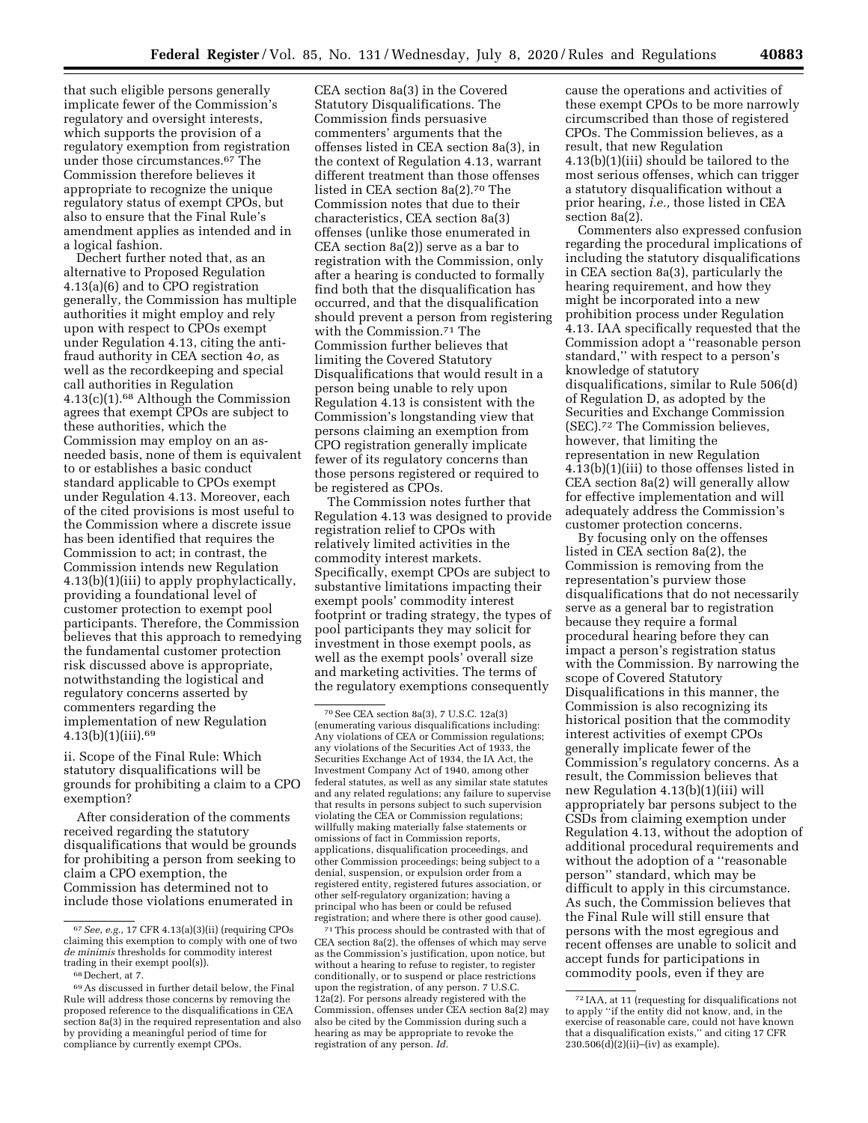that such eligible persons generally implicate fewer of the Commission's regulatory and oversight interests, which supports the provision of a regulatory exemption from registration under those circumstances.67 The Commission therefore believes it appropriate to recognize the unique regulatory status of exempt CPOs, but also to ensure that the Final Rule's amendment applies as intended and in a logical fashion.

Dechert further noted that, as an alternative to Proposed Regulation 4.13(a)(6) and to CPO registration generally, the Commission has multiple authorities it might employ and rely upon with respect to CPOs exempt under Regulation 4.13, citing the antifraud authority in CEA section 4*o,* as well as the recordkeeping and special call authorities in Regulation  $4.13(c)(1).<sup>68</sup>$  Although the Commission agrees that exempt CPOs are subject to these authorities, which the Commission may employ on an asneeded basis, none of them is equivalent to or establishes a basic conduct standard applicable to CPOs exempt under Regulation 4.13. Moreover, each of the cited provisions is most useful to the Commission where a discrete issue has been identified that requires the Commission to act; in contrast, the Commission intends new Regulation 4.13(b)(1)(iii) to apply prophylactically, providing a foundational level of customer protection to exempt pool participants. Therefore, the Commission believes that this approach to remedying the fundamental customer protection risk discussed above is appropriate, notwithstanding the logistical and regulatory concerns asserted by commenters regarding the implementation of new Regulation  $4.13(b)(1)(iii).69$ 

ii. Scope of the Final Rule: Which statutory disqualifications will be grounds for prohibiting a claim to a CPO exemption?

After consideration of the comments received regarding the statutory disqualifications that would be grounds for prohibiting a person from seeking to claim a CPO exemption, the Commission has determined not to include those violations enumerated in

CEA section 8a(3) in the Covered Statutory Disqualifications. The Commission finds persuasive commenters' arguments that the offenses listed in CEA section 8a(3), in the context of Regulation 4.13, warrant different treatment than those offenses listed in CEA section 8a(2).70 The Commission notes that due to their characteristics, CEA section 8a(3) offenses (unlike those enumerated in CEA section 8a(2)) serve as a bar to registration with the Commission, only after a hearing is conducted to formally find both that the disqualification has occurred, and that the disqualification should prevent a person from registering with the Commission.71 The Commission further believes that limiting the Covered Statutory Disqualifications that would result in a person being unable to rely upon Regulation 4.13 is consistent with the Commission's longstanding view that persons claiming an exemption from CPO registration generally implicate fewer of its regulatory concerns than those persons registered or required to be registered as CPOs.

The Commission notes further that Regulation 4.13 was designed to provide registration relief to CPOs with relatively limited activities in the commodity interest markets. Specifically, exempt CPOs are subject to substantive limitations impacting their exempt pools' commodity interest footprint or trading strategy, the types of pool participants they may solicit for investment in those exempt pools, as well as the exempt pools' overall size and marketing activities. The terms of the regulatory exemptions consequently

cause the operations and activities of these exempt CPOs to be more narrowly circumscribed than those of registered CPOs. The Commission believes, as a result, that new Regulation 4.13(b)(1)(iii) should be tailored to the most serious offenses, which can trigger a statutory disqualification without a prior hearing, *i.e.,* those listed in CEA section 8a(2).

Commenters also expressed confusion regarding the procedural implications of including the statutory disqualifications in CEA section 8a(3), particularly the hearing requirement, and how they might be incorporated into a new prohibition process under Regulation 4.13. IAA specifically requested that the Commission adopt a ''reasonable person standard,'' with respect to a person's knowledge of statutory disqualifications, similar to Rule 506(d) of Regulation D, as adopted by the Securities and Exchange Commission (SEC).72 The Commission believes, however, that limiting the representation in new Regulation 4.13(b)(1)(iii) to those offenses listed in CEA section 8a(2) will generally allow for effective implementation and will adequately address the Commission's customer protection concerns.

By focusing only on the offenses listed in CEA section 8a(2), the Commission is removing from the representation's purview those disqualifications that do not necessarily serve as a general bar to registration because they require a formal procedural hearing before they can impact a person's registration status with the Commission. By narrowing the scope of Covered Statutory Disqualifications in this manner, the Commission is also recognizing its historical position that the commodity interest activities of exempt CPOs generally implicate fewer of the Commission's regulatory concerns. As a result, the Commission believes that new Regulation 4.13(b)(1)(iii) will appropriately bar persons subject to the CSDs from claiming exemption under Regulation 4.13, without the adoption of additional procedural requirements and without the adoption of a ''reasonable person'' standard, which may be difficult to apply in this circumstance. As such, the Commission believes that the Final Rule will still ensure that persons with the most egregious and recent offenses are unable to solicit and accept funds for participations in commodity pools, even if they are

<sup>67</sup>*See, e.g.,* 17 CFR 4.13(a)(3)(ii) (requiring CPOs claiming this exemption to comply with one of two *de minimis* thresholds for commodity interest trading in their exempt pool(s)).

<sup>68</sup> Dechert, at 7.

<sup>69</sup>As discussed in further detail below, the Final Rule will address those concerns by removing the proposed reference to the disqualifications in CEA section 8a(3) in the required representation and also by providing a meaningful period of time for compliance by currently exempt CPOs.

<sup>70</sup>See CEA section 8a(3), 7 U.S.C. 12a(3) (enumerating various disqualifications including: Any violations of CEA or Commission regulations; any violations of the Securities Act of 1933, the Securities Exchange Act of 1934, the IA Act, the Investment Company Act of 1940, among other federal statutes, as well as any similar state statutes and any related regulations; any failure to supervise that results in persons subject to such supervision violating the CEA or Commission regulations; willfully making materially false statements or omissions of fact in Commission reports, applications, disqualification proceedings, and other Commission proceedings; being subject to a denial, suspension, or expulsion order from a registered entity, registered futures association, or other self-regulatory organization; having a principal who has been or could be refused registration; and where there is other good cause).

<sup>71</sup>This process should be contrasted with that of CEA section 8a(2), the offenses of which may serve as the Commission's justification, upon notice, but without a hearing to refuse to register, to register conditionally, or to suspend or place restrictions upon the registration, of any person. 7 U.S.C. 12a(2). For persons already registered with the Commission, offenses under CEA section 8a(2) may also be cited by the Commission during such a hearing as may be appropriate to revoke the registration of any person. *Id.* 

<sup>72</sup> IAA, at 11 (requesting for disqualifications not to apply ''if the entity did not know, and, in the exercise of reasonable care, could not have known that a disqualification exists,'' and citing 17 CFR  $230.506(d)(2)(ii)$ –(iv) as example).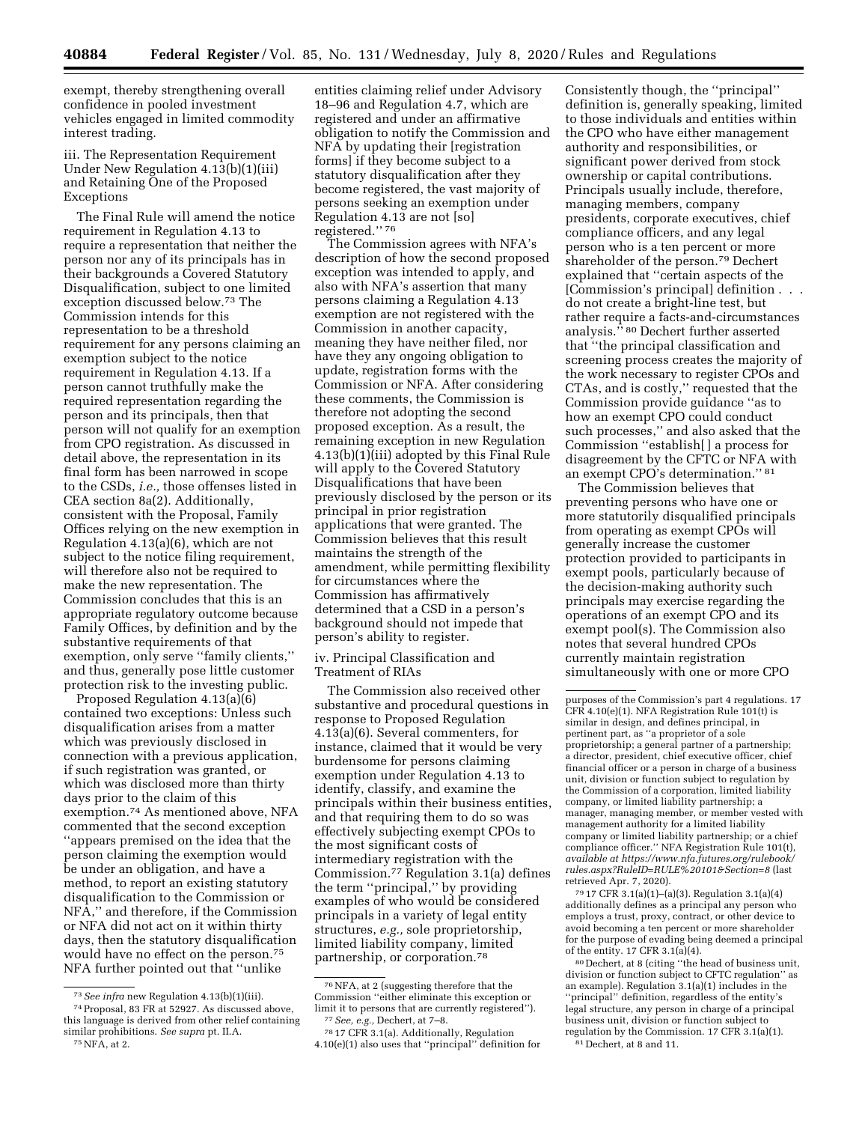exempt, thereby strengthening overall confidence in pooled investment vehicles engaged in limited commodity interest trading.

iii. The Representation Requirement Under New Regulation 4.13(b)(1)(iii) and Retaining One of the Proposed Exceptions

The Final Rule will amend the notice requirement in Regulation 4.13 to require a representation that neither the person nor any of its principals has in their backgrounds a Covered Statutory Disqualification, subject to one limited exception discussed below.73 The Commission intends for this representation to be a threshold requirement for any persons claiming an exemption subject to the notice requirement in Regulation 4.13. If a person cannot truthfully make the required representation regarding the person and its principals, then that person will not qualify for an exemption from CPO registration. As discussed in detail above, the representation in its final form has been narrowed in scope to the CSDs, *i.e.,* those offenses listed in CEA section 8a(2). Additionally, consistent with the Proposal, Family Offices relying on the new exemption in Regulation 4.13(a)(6), which are not subject to the notice filing requirement, will therefore also not be required to make the new representation. The Commission concludes that this is an appropriate regulatory outcome because Family Offices, by definition and by the substantive requirements of that exemption, only serve ''family clients,'' and thus, generally pose little customer protection risk to the investing public.

Proposed Regulation 4.13(a)(6) contained two exceptions: Unless such disqualification arises from a matter which was previously disclosed in connection with a previous application, if such registration was granted, or which was disclosed more than thirty days prior to the claim of this exemption.74 As mentioned above, NFA commented that the second exception ''appears premised on the idea that the person claiming the exemption would be under an obligation, and have a method, to report an existing statutory disqualification to the Commission or NFA,'' and therefore, if the Commission or NFA did not act on it within thirty days, then the statutory disqualification would have no effect on the person.75 NFA further pointed out that ''unlike

 $^{75}\rm{NFA}$  at 2.

entities claiming relief under Advisory 18–96 and Regulation 4.7, which are registered and under an affirmative obligation to notify the Commission and NFA by updating their [registration forms] if they become subject to a statutory disqualification after they become registered, the vast majority of persons seeking an exemption under Regulation 4.13 are not [so] registered.'' 76

The Commission agrees with NFA's description of how the second proposed exception was intended to apply, and also with NFA's assertion that many persons claiming a Regulation 4.13 exemption are not registered with the Commission in another capacity, meaning they have neither filed, nor have they any ongoing obligation to update, registration forms with the Commission or NFA. After considering these comments, the Commission is therefore not adopting the second proposed exception. As a result, the remaining exception in new Regulation 4.13(b)(1)(iii) adopted by this Final Rule will apply to the Covered Statutory Disqualifications that have been previously disclosed by the person or its principal in prior registration applications that were granted. The Commission believes that this result maintains the strength of the amendment, while permitting flexibility for circumstances where the Commission has affirmatively determined that a CSD in a person's background should not impede that person's ability to register.

iv. Principal Classification and Treatment of RIAs

The Commission also received other substantive and procedural questions in response to Proposed Regulation 4.13(a)(6). Several commenters, for instance, claimed that it would be very burdensome for persons claiming exemption under Regulation 4.13 to identify, classify, and examine the principals within their business entities, and that requiring them to do so was effectively subjecting exempt CPOs to the most significant costs of intermediary registration with the Commission.77 Regulation 3.1(a) defines the term ''principal,'' by providing examples of who would be considered principals in a variety of legal entity structures, *e.g.,* sole proprietorship, limited liability company, limited partnership, or corporation.78

Consistently though, the ''principal'' definition is, generally speaking, limited to those individuals and entities within the CPO who have either management authority and responsibilities, or significant power derived from stock ownership or capital contributions. Principals usually include, therefore, managing members, company presidents, corporate executives, chief compliance officers, and any legal person who is a ten percent or more shareholder of the person.79 Dechert explained that ''certain aspects of the [Commission's principal] definition . . . do not create a bright-line test, but rather require a facts-and-circumstances analysis.'' 80 Dechert further asserted that ''the principal classification and screening process creates the majority of the work necessary to register CPOs and CTAs, and is costly,'' requested that the Commission provide guidance ''as to how an exempt CPO could conduct such processes,'' and also asked that the Commission ''establish[ ] a process for disagreement by the CFTC or NFA with an exempt CPO's determination.'' 81

The Commission believes that preventing persons who have one or more statutorily disqualified principals from operating as exempt CPOs will generally increase the customer protection provided to participants in exempt pools, particularly because of the decision-making authority such principals may exercise regarding the operations of an exempt CPO and its exempt pool(s). The Commission also notes that several hundred CPOs currently maintain registration simultaneously with one or more CPO

79 17 CFR 3.1(a)(1)–(a)(3). Regulation 3.1(a)(4) additionally defines as a principal any person who employs a trust, proxy, contract, or other device to avoid becoming a ten percent or more shareholder for the purpose of evading being deemed a principal of the entity. 17 CFR 3.1(a)(4).

80 Dechert, at 8 (citing ''the head of business unit, division or function subject to CFTC regulation'' as an example). Regulation 3.1(a)(1) includes in the ''principal'' definition, regardless of the entity's legal structure, any person in charge of a principal business unit, division or function subject to regulation by the Commission. 17 CFR 3.1(a)(1). 81 Dechert, at 8 and 11.

<sup>73</sup>*See infra* new Regulation 4.13(b)(1)(iii).

<sup>74</sup>Proposal, 83 FR at 52927. As discussed above, this language is derived from other relief containing similar prohibitions. *See supra* pt. II.A.

<sup>76</sup>NFA, at 2 (suggesting therefore that the Commission ''either eliminate this exception or limit it to persons that are currently registered''). 77*See, e.g.,* Dechert, at 7–8. 78 17 CFR 3.1(a). Additionally, Regulation

<sup>4.10(</sup>e)(1) also uses that ''principal'' definition for

purposes of the Commission's part 4 regulations. 17 CFR 4.10(e)(1). NFA Registration Rule 101(t) is similar in design, and defines principal, in pertinent part, as ''a proprietor of a sole proprietorship; a general partner of a partnership; a director, president, chief executive officer, chief financial officer or a person in charge of a business unit, division or function subject to regulation by the Commission of a corporation, limited liability company, or limited liability partnership; a manager, managing member, or member vested with management authority for a limited liability company or limited liability partnership; or a chief compliance officer.'' NFA Registration Rule 101(t), *available at [https://www.nfa.futures.org/rulebook/](https://www.nfa.futures.org/rulebook/rules.aspx?RuleID=RULE%20101&Section=8)  [rules.aspx?RuleID=RULE%20101&Section=8](https://www.nfa.futures.org/rulebook/rules.aspx?RuleID=RULE%20101&Section=8)* (last retrieved Apr. 7, 2020).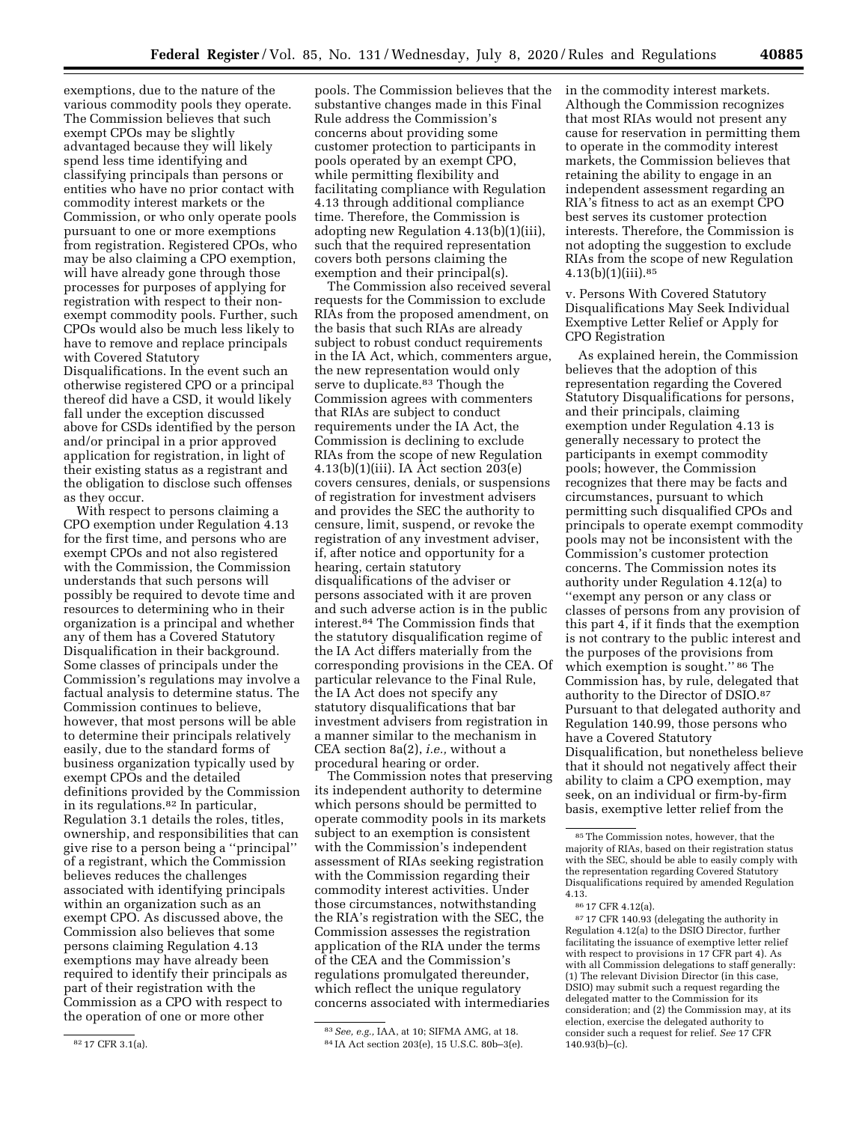exemptions, due to the nature of the various commodity pools they operate. The Commission believes that such exempt CPOs may be slightly advantaged because they will likely spend less time identifying and classifying principals than persons or entities who have no prior contact with commodity interest markets or the Commission, or who only operate pools pursuant to one or more exemptions from registration. Registered CPOs, who may be also claiming a CPO exemption, will have already gone through those processes for purposes of applying for registration with respect to their nonexempt commodity pools. Further, such CPOs would also be much less likely to have to remove and replace principals with Covered Statutory Disqualifications. In the event such an otherwise registered CPO or a principal thereof did have a CSD, it would likely fall under the exception discussed above for CSDs identified by the person and/or principal in a prior approved application for registration, in light of their existing status as a registrant and the obligation to disclose such offenses as they occur.

With respect to persons claiming a CPO exemption under Regulation 4.13 for the first time, and persons who are exempt CPOs and not also registered with the Commission, the Commission understands that such persons will possibly be required to devote time and resources to determining who in their organization is a principal and whether any of them has a Covered Statutory Disqualification in their background. Some classes of principals under the Commission's regulations may involve a factual analysis to determine status. The Commission continues to believe, however, that most persons will be able to determine their principals relatively easily, due to the standard forms of business organization typically used by exempt CPOs and the detailed definitions provided by the Commission in its regulations.82 In particular, Regulation 3.1 details the roles, titles, ownership, and responsibilities that can give rise to a person being a ''principal'' of a registrant, which the Commission believes reduces the challenges associated with identifying principals within an organization such as an exempt CPO. As discussed above, the Commission also believes that some persons claiming Regulation 4.13 exemptions may have already been required to identify their principals as part of their registration with the Commission as a CPO with respect to the operation of one or more other

82 17 CFR 3.1(a).

pools. The Commission believes that the substantive changes made in this Final Rule address the Commission's concerns about providing some customer protection to participants in pools operated by an exempt CPO, while permitting flexibility and facilitating compliance with Regulation 4.13 through additional compliance time. Therefore, the Commission is adopting new Regulation 4.13(b)(1)(iii), such that the required representation covers both persons claiming the exemption and their principal(s).

The Commission also received several requests for the Commission to exclude RIAs from the proposed amendment, on the basis that such RIAs are already subject to robust conduct requirements in the IA Act, which, commenters argue, the new representation would only serve to duplicate.<sup>83</sup> Though the Commission agrees with commenters that RIAs are subject to conduct requirements under the IA Act, the Commission is declining to exclude RIAs from the scope of new Regulation 4.13(b)(1)(iii). IA Act section 203(e) covers censures, denials, or suspensions of registration for investment advisers and provides the SEC the authority to censure, limit, suspend, or revoke the registration of any investment adviser, if, after notice and opportunity for a hearing, certain statutory disqualifications of the adviser or persons associated with it are proven and such adverse action is in the public interest.84 The Commission finds that the statutory disqualification regime of the IA Act differs materially from the corresponding provisions in the CEA. Of particular relevance to the Final Rule, the IA Act does not specify any statutory disqualifications that bar investment advisers from registration in a manner similar to the mechanism in CEA section 8a(2), *i.e.,* without a procedural hearing or order.

The Commission notes that preserving its independent authority to determine which persons should be permitted to operate commodity pools in its markets subject to an exemption is consistent with the Commission's independent assessment of RIAs seeking registration with the Commission regarding their commodity interest activities. Under those circumstances, notwithstanding the RIA's registration with the SEC, the Commission assesses the registration application of the RIA under the terms of the CEA and the Commission's regulations promulgated thereunder, which reflect the unique regulatory concerns associated with intermediaries

83*See, e.g.,* IAA, at 10; SIFMA AMG, at 18. 84 IA Act section 203(e), 15 U.S.C. 80b–3(e). in the commodity interest markets. Although the Commission recognizes that most RIAs would not present any cause for reservation in permitting them to operate in the commodity interest markets, the Commission believes that retaining the ability to engage in an independent assessment regarding an RIA's fitness to act as an exempt CPO best serves its customer protection interests. Therefore, the Commission is not adopting the suggestion to exclude RIAs from the scope of new Regulation 4.13(b)(1)(iii).85

v. Persons With Covered Statutory Disqualifications May Seek Individual Exemptive Letter Relief or Apply for CPO Registration

As explained herein, the Commission believes that the adoption of this representation regarding the Covered Statutory Disqualifications for persons, and their principals, claiming exemption under Regulation 4.13 is generally necessary to protect the participants in exempt commodity pools; however, the Commission recognizes that there may be facts and circumstances, pursuant to which permitting such disqualified CPOs and principals to operate exempt commodity pools may not be inconsistent with the Commission's customer protection concerns. The Commission notes its authority under Regulation 4.12(a) to ''exempt any person or any class or classes of persons from any provision of this part 4, if it finds that the exemption is not contrary to the public interest and the purposes of the provisions from which exemption is sought.'' 86 The Commission has, by rule, delegated that authority to the Director of DSIO.87 Pursuant to that delegated authority and Regulation 140.99, those persons who have a Covered Statutory Disqualification, but nonetheless believe that it should not negatively affect their ability to claim a CPO exemption, may seek, on an individual or firm-by-firm basis, exemptive letter relief from the

87 17 CFR 140.93 (delegating the authority in Regulation 4.12(a) to the DSIO Director, further facilitating the issuance of exemptive letter relief with respect to provisions in 17 CFR part 4). As with all Commission delegations to staff generally: (1) The relevant Division Director (in this case, DSIO) may submit such a request regarding the delegated matter to the Commission for its consideration; and (2) the Commission may, at its election, exercise the delegated authority to consider such a request for relief. *See* 17 CFR 140.93(b)–(c).

<sup>85</sup>The Commission notes, however, that the majority of RIAs, based on their registration status with the SEC, should be able to easily comply with the representation regarding Covered Statutory Disqualifications required by amended Regulation 4.13.

<sup>86</sup> 17 CFR 4.12(a).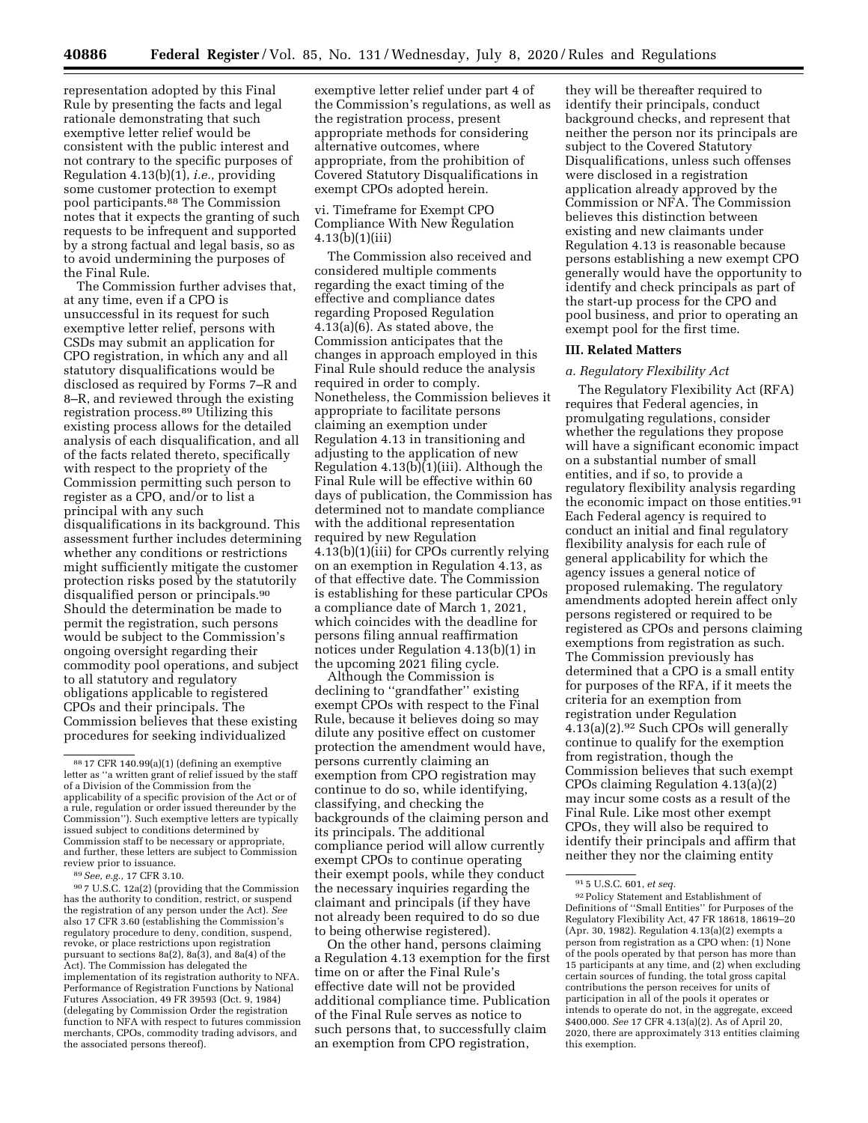representation adopted by this Final Rule by presenting the facts and legal rationale demonstrating that such exemptive letter relief would be consistent with the public interest and not contrary to the specific purposes of Regulation 4.13(b)(1), *i.e.,* providing some customer protection to exempt pool participants.88 The Commission notes that it expects the granting of such requests to be infrequent and supported by a strong factual and legal basis, so as to avoid undermining the purposes of the Final Rule.

The Commission further advises that, at any time, even if a CPO is unsuccessful in its request for such exemptive letter relief, persons with CSDs may submit an application for CPO registration, in which any and all statutory disqualifications would be disclosed as required by Forms 7–R and 8–R, and reviewed through the existing registration process.89 Utilizing this existing process allows for the detailed analysis of each disqualification, and all of the facts related thereto, specifically with respect to the propriety of the Commission permitting such person to register as a CPO, and/or to list a principal with any such disqualifications in its background. This assessment further includes determining whether any conditions or restrictions might sufficiently mitigate the customer protection risks posed by the statutorily disqualified person or principals.90 Should the determination be made to permit the registration, such persons would be subject to the Commission's ongoing oversight regarding their commodity pool operations, and subject to all statutory and regulatory obligations applicable to registered CPOs and their principals. The Commission believes that these existing procedures for seeking individualized

 $^{89}See,$   $e.g.,$   $17$  CFR 3.10.  $^{90}7$  U.S.C.  $12\mathrm{a}(2)$  (providing that the Commission has the authority to condition, restrict, or suspend the registration of any person under the Act). *See*  also 17 CFR 3.60 (establishing the Commission's regulatory procedure to deny, condition, suspend, revoke, or place restrictions upon registration pursuant to sections 8a(2), 8a(3), and 8a(4) of the Act). The Commission has delegated the implementation of its registration authority to NFA. Performance of Registration Functions by National Futures Association, 49 FR 39593 (Oct. 9, 1984) (delegating by Commission Order the registration function to NFA with respect to futures commission merchants, CPOs, commodity trading advisors, and the associated persons thereof).

exemptive letter relief under part 4 of the Commission's regulations, as well as the registration process, present appropriate methods for considering alternative outcomes, where appropriate, from the prohibition of Covered Statutory Disqualifications in exempt CPOs adopted herein.

## vi. Timeframe for Exempt CPO Compliance With New Regulation 4.13(b)(1)(iii)

The Commission also received and considered multiple comments regarding the exact timing of the effective and compliance dates regarding Proposed Regulation 4.13(a)(6). As stated above, the Commission anticipates that the changes in approach employed in this Final Rule should reduce the analysis required in order to comply. Nonetheless, the Commission believes it appropriate to facilitate persons claiming an exemption under Regulation 4.13 in transitioning and adjusting to the application of new Regulation  $4.13(b)(1)(iii)$ . Although the Final Rule will be effective within 60 days of publication, the Commission has determined not to mandate compliance with the additional representation required by new Regulation 4.13(b)(1)(iii) for CPOs currently relying on an exemption in Regulation 4.13, as of that effective date. The Commission is establishing for these particular CPOs a compliance date of March 1, 2021, which coincides with the deadline for persons filing annual reaffirmation notices under Regulation 4.13(b)(1) in the upcoming 2021 filing cycle.

Although the Commission is declining to ''grandfather'' existing exempt CPOs with respect to the Final Rule, because it believes doing so may dilute any positive effect on customer protection the amendment would have, persons currently claiming an exemption from CPO registration may continue to do so, while identifying, classifying, and checking the backgrounds of the claiming person and its principals. The additional compliance period will allow currently exempt CPOs to continue operating their exempt pools, while they conduct the necessary inquiries regarding the claimant and principals (if they have not already been required to do so due to being otherwise registered).

On the other hand, persons claiming a Regulation 4.13 exemption for the first time on or after the Final Rule's effective date will not be provided additional compliance time. Publication of the Final Rule serves as notice to such persons that, to successfully claim an exemption from CPO registration,

they will be thereafter required to identify their principals, conduct background checks, and represent that neither the person nor its principals are subject to the Covered Statutory Disqualifications, unless such offenses were disclosed in a registration application already approved by the Commission or NFA. The Commission believes this distinction between existing and new claimants under Regulation 4.13 is reasonable because persons establishing a new exempt CPO generally would have the opportunity to identify and check principals as part of the start-up process for the CPO and pool business, and prior to operating an exempt pool for the first time.

### **III. Related Matters**

### *a. Regulatory Flexibility Act*

The Regulatory Flexibility Act (RFA) requires that Federal agencies, in promulgating regulations, consider whether the regulations they propose will have a significant economic impact on a substantial number of small entities, and if so, to provide a regulatory flexibility analysis regarding the economic impact on those entities.<sup>91</sup> Each Federal agency is required to conduct an initial and final regulatory flexibility analysis for each rule of general applicability for which the agency issues a general notice of proposed rulemaking. The regulatory amendments adopted herein affect only persons registered or required to be registered as CPOs and persons claiming exemptions from registration as such. The Commission previously has determined that a CPO is a small entity for purposes of the RFA, if it meets the criteria for an exemption from registration under Regulation 4.13(a)(2).92 Such CPOs will generally continue to qualify for the exemption from registration, though the Commission believes that such exempt CPOs claiming Regulation 4.13(a)(2) may incur some costs as a result of the Final Rule. Like most other exempt CPOs, they will also be required to identify their principals and affirm that neither they nor the claiming entity

<sup>88</sup> 17 CFR 140.99(a)(1) (defining an exemptive letter as ''a written grant of relief issued by the staff of a Division of the Commission from the applicability of a specific provision of the Act or of a rule, regulation or order issued thereunder by the Commission''). Such exemptive letters are typically issued subject to conditions determined by Commission staff to be necessary or appropriate, and further, these letters are subject to Commission review prior to issuance.

<sup>91</sup> 5 U.S.C. 601, *et seq.* 

 $^{92}\rm{Policy}$  Statement and Establishment of Definitions of ''Small Entities'' for Purposes of the Regulatory Flexibility Act, 47 FR 18618, 18619–20 (Apr. 30, 1982). Regulation 4.13(a)(2) exempts a person from registration as a CPO when: (1) None of the pools operated by that person has more than 15 participants at any time, and (2) when excluding certain sources of funding, the total gross capital contributions the person receives for units of participation in all of the pools it operates or intends to operate do not, in the aggregate, exceed \$400,000. *See* 17 CFR 4.13(a)(2). As of April 20, 2020, there are approximately 313 entities claiming this exemption.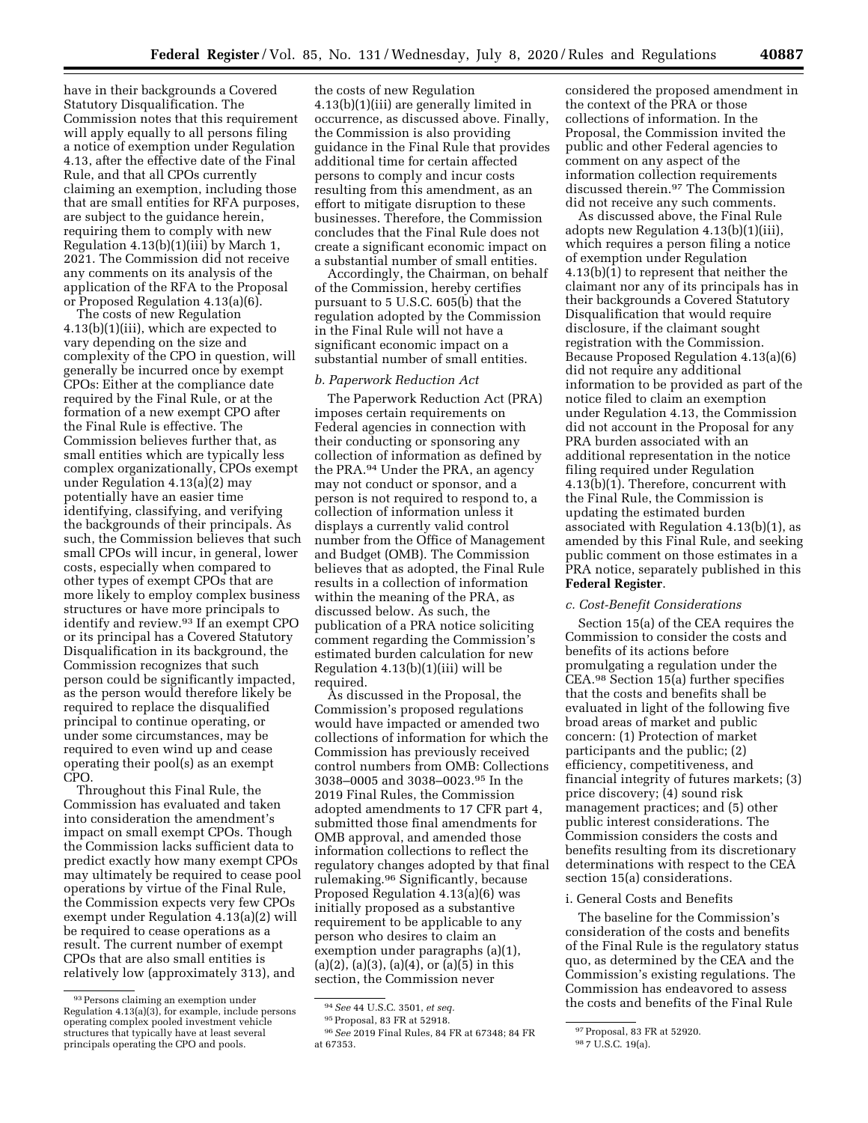have in their backgrounds a Covered Statutory Disqualification. The Commission notes that this requirement will apply equally to all persons filing a notice of exemption under Regulation 4.13, after the effective date of the Final Rule, and that all CPOs currently claiming an exemption, including those that are small entities for RFA purposes, are subject to the guidance herein, requiring them to comply with new Regulation 4.13(b)(1)(iii) by March 1, 2021. The Commission did not receive any comments on its analysis of the application of the RFA to the Proposal or Proposed Regulation 4.13(a)(6).

The costs of new Regulation 4.13(b)(1)(iii), which are expected to vary depending on the size and complexity of the CPO in question, will generally be incurred once by exempt CPOs: Either at the compliance date required by the Final Rule, or at the formation of a new exempt CPO after the Final Rule is effective. The Commission believes further that, as small entities which are typically less complex organizationally, CPOs exempt under Regulation 4.13(a)(2) may potentially have an easier time identifying, classifying, and verifying the backgrounds of their principals. As such, the Commission believes that such small CPOs will incur, in general, lower costs, especially when compared to other types of exempt CPOs that are more likely to employ complex business structures or have more principals to identify and review.93 If an exempt CPO or its principal has a Covered Statutory Disqualification in its background, the Commission recognizes that such person could be significantly impacted, as the person would therefore likely be required to replace the disqualified principal to continue operating, or under some circumstances, may be required to even wind up and cease operating their pool(s) as an exempt CPO.

Throughout this Final Rule, the Commission has evaluated and taken into consideration the amendment's impact on small exempt CPOs. Though the Commission lacks sufficient data to predict exactly how many exempt CPOs may ultimately be required to cease pool operations by virtue of the Final Rule, the Commission expects very few CPOs exempt under Regulation 4.13(a)(2) will be required to cease operations as a result. The current number of exempt CPOs that are also small entities is relatively low (approximately 313), and

the costs of new Regulation 4.13(b)(1)(iii) are generally limited in occurrence, as discussed above. Finally, the Commission is also providing guidance in the Final Rule that provides additional time for certain affected persons to comply and incur costs resulting from this amendment, as an effort to mitigate disruption to these businesses. Therefore, the Commission concludes that the Final Rule does not create a significant economic impact on a substantial number of small entities.

Accordingly, the Chairman, on behalf of the Commission, hereby certifies pursuant to 5 U.S.C. 605(b) that the regulation adopted by the Commission in the Final Rule will not have a significant economic impact on a substantial number of small entities.

## *b. Paperwork Reduction Act*

The Paperwork Reduction Act (PRA) imposes certain requirements on Federal agencies in connection with their conducting or sponsoring any collection of information as defined by the PRA.94 Under the PRA, an agency may not conduct or sponsor, and a person is not required to respond to, a collection of information unless it displays a currently valid control number from the Office of Management and Budget (OMB). The Commission believes that as adopted, the Final Rule results in a collection of information within the meaning of the PRA, as discussed below. As such, the publication of a PRA notice soliciting comment regarding the Commission's estimated burden calculation for new Regulation 4.13(b)(1)(iii) will be required.

As discussed in the Proposal, the Commission's proposed regulations would have impacted or amended two collections of information for which the Commission has previously received control numbers from OMB: Collections 3038–0005 and 3038–0023.95 In the 2019 Final Rules, the Commission adopted amendments to 17 CFR part 4, submitted those final amendments for OMB approval, and amended those information collections to reflect the regulatory changes adopted by that final rulemaking.96 Significantly, because Proposed Regulation 4.13(a)(6) was initially proposed as a substantive requirement to be applicable to any person who desires to claim an exemption under paragraphs (a)(1),  $(a)(2)$ ,  $(a)(3)$ ,  $(a)(4)$ , or  $(a)(5)$  in this section, the Commission never

considered the proposed amendment in the context of the PRA or those collections of information. In the Proposal, the Commission invited the public and other Federal agencies to comment on any aspect of the information collection requirements discussed therein.97 The Commission did not receive any such comments.

As discussed above, the Final Rule adopts new Regulation 4.13(b)(1)(iii), which requires a person filing a notice of exemption under Regulation 4.13(b)(1) to represent that neither the claimant nor any of its principals has in their backgrounds a Covered Statutory Disqualification that would require disclosure, if the claimant sought registration with the Commission. Because Proposed Regulation 4.13(a)(6) did not require any additional information to be provided as part of the notice filed to claim an exemption under Regulation 4.13, the Commission did not account in the Proposal for any PRA burden associated with an additional representation in the notice filing required under Regulation 4.13(b)(1). Therefore, concurrent with the Final Rule, the Commission is updating the estimated burden associated with Regulation 4.13(b)(1), as amended by this Final Rule, and seeking public comment on those estimates in a PRA notice, separately published in this **Federal Register**.

#### *c. Cost-Benefit Considerations*

Section 15(a) of the CEA requires the Commission to consider the costs and benefits of its actions before promulgating a regulation under the CEA.98 Section 15(a) further specifies that the costs and benefits shall be evaluated in light of the following five broad areas of market and public concern: (1) Protection of market participants and the public; (2) efficiency, competitiveness, and financial integrity of futures markets; (3) price discovery; (4) sound risk management practices; and (5) other public interest considerations. The Commission considers the costs and benefits resulting from its discretionary determinations with respect to the CEA section 15(a) considerations.

#### i. General Costs and Benefits

The baseline for the Commission's consideration of the costs and benefits of the Final Rule is the regulatory status quo, as determined by the CEA and the Commission's existing regulations. The Commission has endeavored to assess the costs and benefits of the Final Rule

<sup>93</sup>Persons claiming an exemption under Regulation 4.13(a)(3), for example, include persons operating complex pooled investment vehicle structures that typically have at least several principals operating the CPO and pools.

<sup>94</sup>*See* 44 U.S.C. 3501, *et seq.* 

<sup>95</sup>Proposal, 83 FR at 52918.

<sup>96</sup>*See* 2019 Final Rules, 84 FR at 67348; 84 FR at 67353.

<sup>97</sup>Proposal, 83 FR at 52920.

<sup>98</sup> 7 U.S.C. 19(a).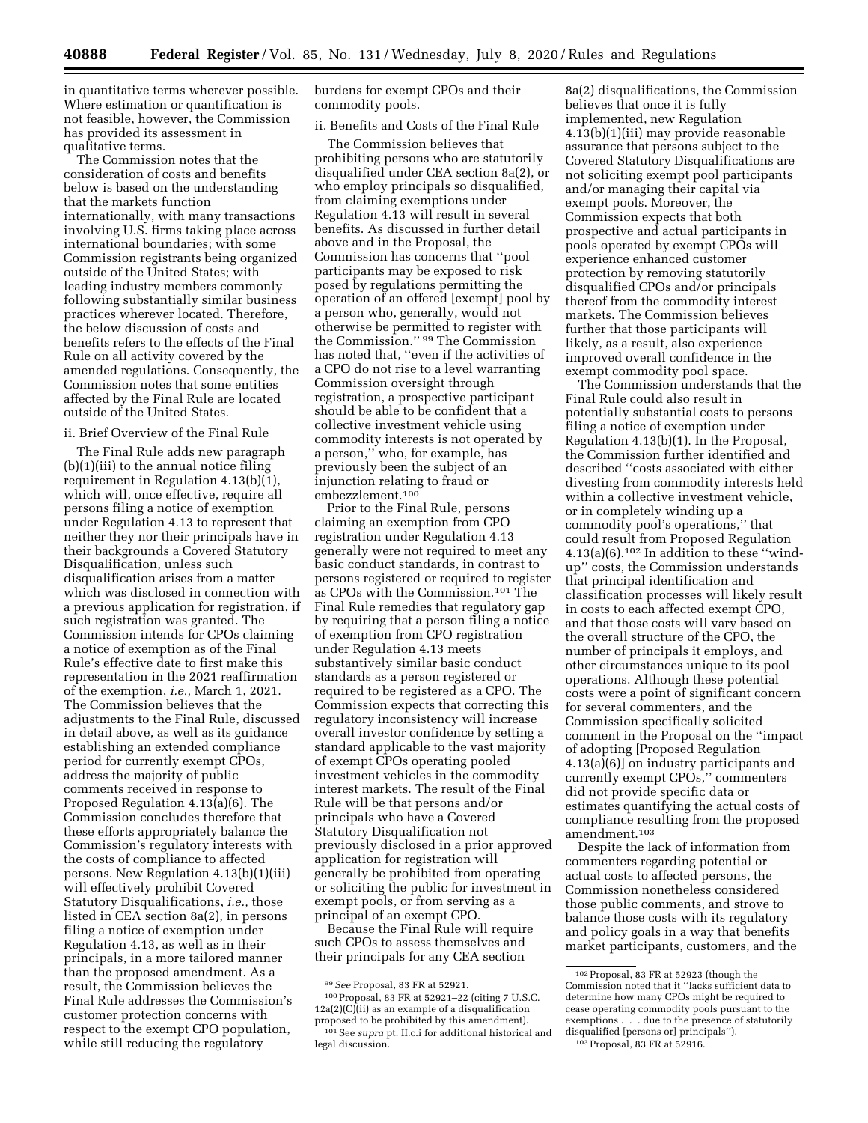in quantitative terms wherever possible. Where estimation or quantification is not feasible, however, the Commission has provided its assessment in qualitative terms.

The Commission notes that the consideration of costs and benefits below is based on the understanding that the markets function internationally, with many transactions involving U.S. firms taking place across international boundaries; with some Commission registrants being organized outside of the United States; with leading industry members commonly following substantially similar business practices wherever located. Therefore, the below discussion of costs and benefits refers to the effects of the Final Rule on all activity covered by the amended regulations. Consequently, the Commission notes that some entities affected by the Final Rule are located outside of the United States.

### ii. Brief Overview of the Final Rule

The Final Rule adds new paragraph (b)(1)(iii) to the annual notice filing requirement in Regulation 4.13(b)(1), which will, once effective, require all persons filing a notice of exemption under Regulation 4.13 to represent that neither they nor their principals have in their backgrounds a Covered Statutory Disqualification, unless such disqualification arises from a matter which was disclosed in connection with a previous application for registration, if such registration was granted. The Commission intends for CPOs claiming a notice of exemption as of the Final Rule's effective date to first make this representation in the 2021 reaffirmation of the exemption, *i.e.,* March 1, 2021. The Commission believes that the adjustments to the Final Rule, discussed in detail above, as well as its guidance establishing an extended compliance period for currently exempt CPOs, address the majority of public comments received in response to Proposed Regulation 4.13(a)(6). The Commission concludes therefore that these efforts appropriately balance the Commission's regulatory interests with the costs of compliance to affected persons. New Regulation 4.13(b)(1)(iii) will effectively prohibit Covered Statutory Disqualifications, *i.e.,* those listed in CEA section 8a(2), in persons filing a notice of exemption under Regulation 4.13, as well as in their principals, in a more tailored manner than the proposed amendment. As a result, the Commission believes the Final Rule addresses the Commission's customer protection concerns with respect to the exempt CPO population, while still reducing the regulatory

burdens for exempt CPOs and their commodity pools.

ii. Benefits and Costs of the Final Rule

The Commission believes that prohibiting persons who are statutorily disqualified under CEA section 8a(2), or who employ principals so disqualified, from claiming exemptions under Regulation 4.13 will result in several benefits. As discussed in further detail above and in the Proposal, the Commission has concerns that ''pool participants may be exposed to risk posed by regulations permitting the operation of an offered [exempt] pool by a person who, generally, would not otherwise be permitted to register with the Commission.'' 99 The Commission has noted that, ''even if the activities of a CPO do not rise to a level warranting Commission oversight through registration, a prospective participant should be able to be confident that a collective investment vehicle using commodity interests is not operated by a person,'' who, for example, has previously been the subject of an injunction relating to fraud or embezzlement.100

Prior to the Final Rule, persons claiming an exemption from CPO registration under Regulation 4.13 generally were not required to meet any basic conduct standards, in contrast to persons registered or required to register as CPOs with the Commission.101 The Final Rule remedies that regulatory gap by requiring that a person filing a notice of exemption from CPO registration under Regulation 4.13 meets substantively similar basic conduct standards as a person registered or required to be registered as a CPO. The Commission expects that correcting this regulatory inconsistency will increase overall investor confidence by setting a standard applicable to the vast majority of exempt CPOs operating pooled investment vehicles in the commodity interest markets. The result of the Final Rule will be that persons and/or principals who have a Covered Statutory Disqualification not previously disclosed in a prior approved application for registration will generally be prohibited from operating or soliciting the public for investment in exempt pools, or from serving as a principal of an exempt CPO.

Because the Final Rule will require such CPOs to assess themselves and their principals for any CEA section

8a(2) disqualifications, the Commission believes that once it is fully implemented, new Regulation 4.13(b)(1)(iii) may provide reasonable assurance that persons subject to the Covered Statutory Disqualifications are not soliciting exempt pool participants and/or managing their capital via exempt pools. Moreover, the Commission expects that both prospective and actual participants in pools operated by exempt CPOs will experience enhanced customer protection by removing statutorily disqualified CPOs and/or principals thereof from the commodity interest markets. The Commission believes further that those participants will likely, as a result, also experience improved overall confidence in the exempt commodity pool space.

The Commission understands that the Final Rule could also result in potentially substantial costs to persons filing a notice of exemption under Regulation 4.13(b)(1). In the Proposal, the Commission further identified and described ''costs associated with either divesting from commodity interests held within a collective investment vehicle, or in completely winding up a commodity pool's operations,'' that could result from Proposed Regulation  $4.13(a)(6).$ <sup>102</sup> In addition to these "windup'' costs, the Commission understands that principal identification and classification processes will likely result in costs to each affected exempt CPO, and that those costs will vary based on the overall structure of the CPO, the number of principals it employs, and other circumstances unique to its pool operations. Although these potential costs were a point of significant concern for several commenters, and the Commission specifically solicited comment in the Proposal on the ''impact of adopting [Proposed Regulation 4.13(a)(6)] on industry participants and currently exempt CPOs,'' commenters did not provide specific data or estimates quantifying the actual costs of compliance resulting from the proposed amendment.103

Despite the lack of information from commenters regarding potential or actual costs to affected persons, the Commission nonetheless considered those public comments, and strove to balance those costs with its regulatory and policy goals in a way that benefits market participants, customers, and the

<sup>99</sup>*See* Proposal, 83 FR at 52921.

<sup>100</sup>Proposal, 83 FR at 52921–22 (citing 7 U.S.C. 12a(2)(C)(ii) as an example of a disqualification proposed to be prohibited by this amendment). 101See *supra* pt. II.c.i for additional historical and legal discussion.

<sup>102</sup>Proposal, 83 FR at 52923 (though the Commission noted that it ''lacks sufficient data to determine how many CPOs might be required to cease operating commodity pools pursuant to the exemptions . . . due to the presence of statutorily disqualified [persons or] principals''). 103Proposal, 83 FR at 52916.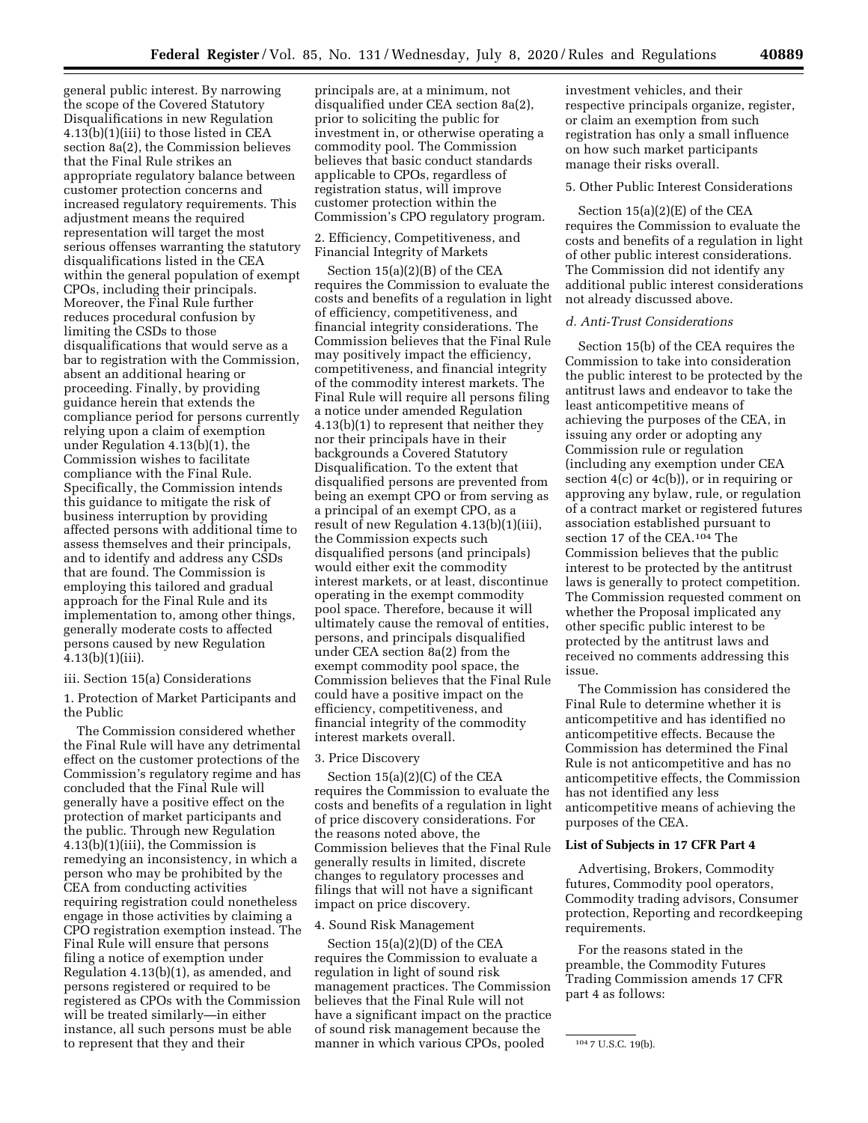general public interest. By narrowing the scope of the Covered Statutory Disqualifications in new Regulation 4.13(b)(1)(iii) to those listed in CEA section 8a(2), the Commission believes that the Final Rule strikes an appropriate regulatory balance between customer protection concerns and increased regulatory requirements. This adjustment means the required representation will target the most serious offenses warranting the statutory disqualifications listed in the CEA within the general population of exempt CPOs, including their principals. Moreover, the Final Rule further reduces procedural confusion by limiting the CSDs to those disqualifications that would serve as a bar to registration with the Commission, absent an additional hearing or proceeding. Finally, by providing guidance herein that extends the compliance period for persons currently relying upon a claim of exemption under Regulation 4.13(b)(1), the Commission wishes to facilitate compliance with the Final Rule. Specifically, the Commission intends this guidance to mitigate the risk of business interruption by providing affected persons with additional time to assess themselves and their principals, and to identify and address any CSDs that are found. The Commission is employing this tailored and gradual approach for the Final Rule and its implementation to, among other things, generally moderate costs to affected persons caused by new Regulation 4.13(b)(1)(iii).

### iii. Section 15(a) Considerations

1. Protection of Market Participants and the Public

The Commission considered whether the Final Rule will have any detrimental effect on the customer protections of the Commission's regulatory regime and has concluded that the Final Rule will generally have a positive effect on the protection of market participants and the public. Through new Regulation 4.13(b)(1)(iii), the Commission is remedying an inconsistency, in which a person who may be prohibited by the CEA from conducting activities requiring registration could nonetheless engage in those activities by claiming a CPO registration exemption instead. The Final Rule will ensure that persons filing a notice of exemption under Regulation 4.13(b)(1), as amended, and persons registered or required to be registered as CPOs with the Commission will be treated similarly—in either instance, all such persons must be able to represent that they and their

principals are, at a minimum, not disqualified under CEA section 8a(2), prior to soliciting the public for investment in, or otherwise operating a commodity pool. The Commission believes that basic conduct standards applicable to CPOs, regardless of registration status, will improve customer protection within the Commission's CPO regulatory program.

2. Efficiency, Competitiveness, and Financial Integrity of Markets

Section 15(a)(2)(B) of the CEA requires the Commission to evaluate the costs and benefits of a regulation in light of efficiency, competitiveness, and financial integrity considerations. The Commission believes that the Final Rule may positively impact the efficiency, competitiveness, and financial integrity of the commodity interest markets. The Final Rule will require all persons filing a notice under amended Regulation 4.13(b)(1) to represent that neither they nor their principals have in their backgrounds a Covered Statutory Disqualification. To the extent that disqualified persons are prevented from being an exempt CPO or from serving as a principal of an exempt CPO, as a result of new Regulation 4.13(b)(1)(iii), the Commission expects such disqualified persons (and principals) would either exit the commodity interest markets, or at least, discontinue operating in the exempt commodity pool space. Therefore, because it will ultimately cause the removal of entities, persons, and principals disqualified under CEA section 8a(2) from the exempt commodity pool space, the Commission believes that the Final Rule could have a positive impact on the efficiency, competitiveness, and financial integrity of the commodity interest markets overall.

### 3. Price Discovery

Section 15(a)(2)(C) of the CEA requires the Commission to evaluate the costs and benefits of a regulation in light of price discovery considerations. For the reasons noted above, the Commission believes that the Final Rule generally results in limited, discrete changes to regulatory processes and filings that will not have a significant impact on price discovery.

## 4. Sound Risk Management

Section 15(a)(2)(D) of the CEA requires the Commission to evaluate a regulation in light of sound risk management practices. The Commission believes that the Final Rule will not have a significant impact on the practice of sound risk management because the manner in which various CPOs, pooled

investment vehicles, and their respective principals organize, register, or claim an exemption from such registration has only a small influence on how such market participants manage their risks overall.

## 5. Other Public Interest Considerations

Section 15(a)(2)(E) of the CEA requires the Commission to evaluate the costs and benefits of a regulation in light of other public interest considerations. The Commission did not identify any additional public interest considerations not already discussed above.

### *d. Anti-Trust Considerations*

Section 15(b) of the CEA requires the Commission to take into consideration the public interest to be protected by the antitrust laws and endeavor to take the least anticompetitive means of achieving the purposes of the CEA, in issuing any order or adopting any Commission rule or regulation (including any exemption under CEA section 4(c) or 4c(b)), or in requiring or approving any bylaw, rule, or regulation of a contract market or registered futures association established pursuant to section 17 of the CEA.104 The Commission believes that the public interest to be protected by the antitrust laws is generally to protect competition. The Commission requested comment on whether the Proposal implicated any other specific public interest to be protected by the antitrust laws and received no comments addressing this issue.

The Commission has considered the Final Rule to determine whether it is anticompetitive and has identified no anticompetitive effects. Because the Commission has determined the Final Rule is not anticompetitive and has no anticompetitive effects, the Commission has not identified any less anticompetitive means of achieving the purposes of the CEA.

## **List of Subjects in 17 CFR Part 4**

Advertising, Brokers, Commodity futures, Commodity pool operators, Commodity trading advisors, Consumer protection, Reporting and recordkeeping requirements.

For the reasons stated in the preamble, the Commodity Futures Trading Commission amends 17 CFR part 4 as follows:

<sup>104</sup> 7 U.S.C. 19(b).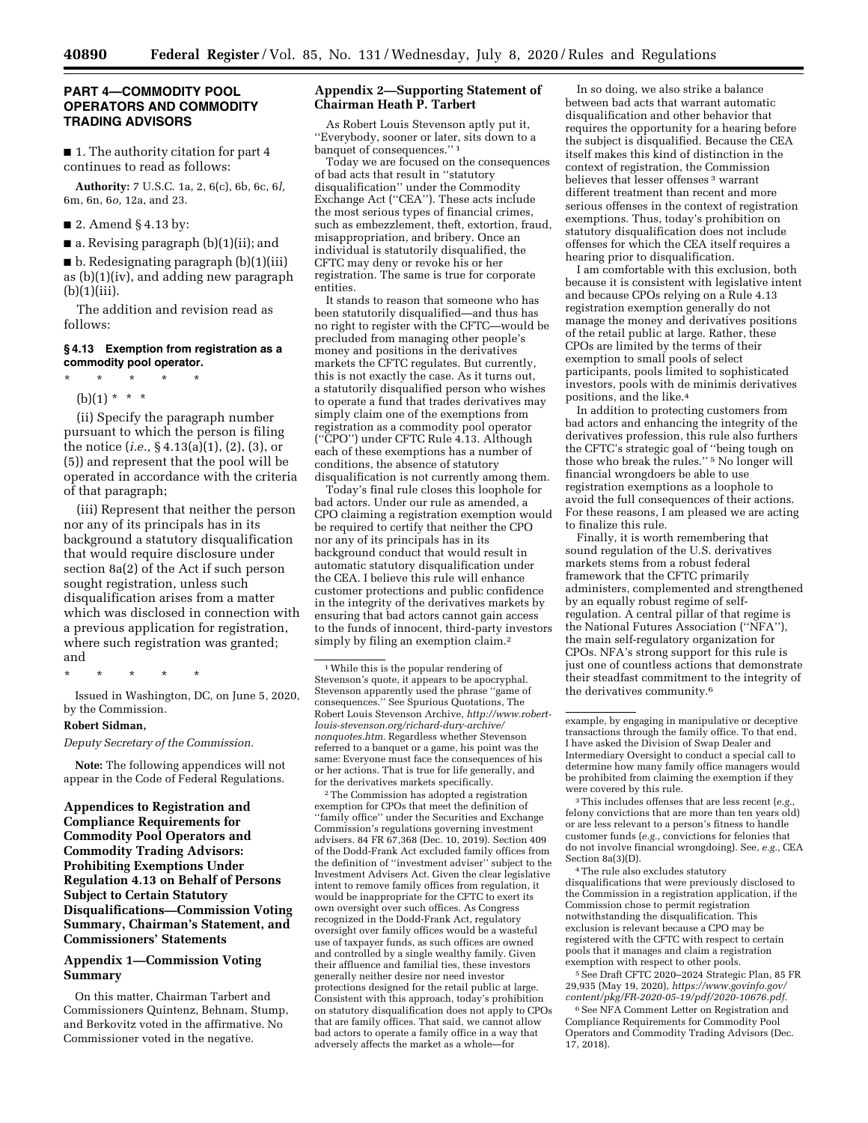### **PART 4—COMMODITY POOL OPERATORS AND COMMODITY TRADING ADVISORS**

■ 1. The authority citation for part 4 continues to read as follows:

**Authority:** 7 U.S.C. 1a, 2, 6(c), 6b, 6c, 6*l,*  6m, 6n, 6*o,* 12a, and 23.

■ 2. Amend § 4.13 by:

■ a. Revising paragraph (b)(1)(ii); and

■ b. Redesignating paragraph (b)(1)(iii) as (b)(1)(iv), and adding new paragraph  $(b)(1)(iii)$ .

The addition and revision read as follows:

## **§ 4.13 Exemption from registration as a commodity pool operator.**

\* \* \* \* \* (b)(1) \* \* \*

(ii) Specify the paragraph number pursuant to which the person is filing the notice (*i.e.,* § 4.13(a)(1), (2), (3), or (5)) and represent that the pool will be operated in accordance with the criteria of that paragraph;

(iii) Represent that neither the person nor any of its principals has in its background a statutory disqualification that would require disclosure under section 8a(2) of the Act if such person sought registration, unless such disqualification arises from a matter which was disclosed in connection with a previous application for registration, where such registration was granted; and

\* \* \* \* \*

Issued in Washington, DC, on June 5, 2020, by the Commission.

### **Robert Sidman,**

*Deputy Secretary of the Commission.* 

**Note:** The following appendices will not appear in the Code of Federal Regulations.

**Appendices to Registration and Compliance Requirements for Commodity Pool Operators and Commodity Trading Advisors: Prohibiting Exemptions Under Regulation 4.13 on Behalf of Persons Subject to Certain Statutory Disqualifications—Commission Voting Summary, Chairman's Statement, and Commissioners' Statements** 

## **Appendix 1—Commission Voting Summary**

On this matter, Chairman Tarbert and Commissioners Quintenz, Behnam, Stump, and Berkovitz voted in the affirmative. No Commissioner voted in the negative.

### **Appendix 2—Supporting Statement of Chairman Heath P. Tarbert**

As Robert Louis Stevenson aptly put it, ''Everybody, sooner or later, sits down to a banquet of consequences."

Today we are focused on the consequences of bad acts that result in ''statutory disqualification'' under the Commodity Exchange Act (''CEA''). These acts include the most serious types of financial crimes, such as embezzlement, theft, extortion, fraud, misappropriation, and bribery. Once an individual is statutorily disqualified, the CFTC may deny or revoke his or her registration. The same is true for corporate entities.

It stands to reason that someone who has been statutorily disqualified—and thus has no right to register with the CFTC—would be precluded from managing other people's money and positions in the derivatives markets the CFTC regulates. But currently, this is not exactly the case. As it turns out, a statutorily disqualified person who wishes to operate a fund that trades derivatives may simply claim one of the exemptions from registration as a commodity pool operator (''CPO'') under CFTC Rule 4.13. Although each of these exemptions has a number of conditions, the absence of statutory disqualification is not currently among them.

Today's final rule closes this loophole for bad actors. Under our rule as amended, a CPO claiming a registration exemption would be required to certify that neither the CPO nor any of its principals has in its background conduct that would result in automatic statutory disqualification under the CEA. I believe this rule will enhance customer protections and public confidence in the integrity of the derivatives markets by ensuring that bad actors cannot gain access to the funds of innocent, third-party investors simply by filing an exemption claim.2

2The Commission has adopted a registration exemption for CPOs that meet the definition of ''family office'' under the Securities and Exchange Commission's regulations governing investment advisers. 84 FR 67,368 (Dec. 10, 2019). Section 409 of the Dodd-Frank Act excluded family offices from the definition of ''investment adviser'' subject to the Investment Advisers Act. Given the clear legislative intent to remove family offices from regulation, it would be inappropriate for the CFTC to exert its own oversight over such offices. As Congress recognized in the Dodd-Frank Act, regulatory oversight over family offices would be a wasteful use of taxpayer funds, as such offices are owned and controlled by a single wealthy family. Given their affluence and familial ties, these investors generally neither desire nor need investor protections designed for the retail public at large. Consistent with this approach, today's prohibition on statutory disqualification does not apply to CPOs that are family offices. That said, we cannot allow bad actors to operate a family office in a way that adversely affects the market as a whole—for

In so doing, we also strike a balance between bad acts that warrant automatic disqualification and other behavior that requires the opportunity for a hearing before the subject is disqualified. Because the CEA itself makes this kind of distinction in the context of registration, the Commission believes that lesser offenses 3 warrant different treatment than recent and more serious offenses in the context of registration exemptions. Thus, today's prohibition on statutory disqualification does not include offenses for which the CEA itself requires a hearing prior to disqualification.

I am comfortable with this exclusion, both because it is consistent with legislative intent and because CPOs relying on a Rule 4.13 registration exemption generally do not manage the money and derivatives positions of the retail public at large. Rather, these CPOs are limited by the terms of their exemption to small pools of select participants, pools limited to sophisticated investors, pools with de minimis derivatives positions, and the like.4

In addition to protecting customers from bad actors and enhancing the integrity of the derivatives profession, this rule also furthers the CFTC's strategic goal of ''being tough on those who break the rules.'' 5 No longer will financial wrongdoers be able to use registration exemptions as a loophole to avoid the full consequences of their actions. For these reasons, I am pleased we are acting to finalize this rule.

Finally, it is worth remembering that sound regulation of the U.S. derivatives markets stems from a robust federal framework that the CFTC primarily administers, complemented and strengthened by an equally robust regime of selfregulation. A central pillar of that regime is the National Futures Association (''NFA''), the main self-regulatory organization for CPOs. NFA's strong support for this rule is just one of countless actions that demonstrate their steadfast commitment to the integrity of the derivatives community.6

3This includes offenses that are less recent (*e.g.,*  felony convictions that are more than ten years old) or are less relevant to a person's fitness to handle customer funds (*e.g.,* convictions for felonies that do not involve financial wrongdoing). See, *e.g.,* CEA Section 8a(3)(D).

4The rule also excludes statutory disqualifications that were previously disclosed to the Commission in a registration application, if the Commission chose to permit registration notwithstanding the disqualification. This exclusion is relevant because a CPO may be registered with the CFTC with respect to certain pools that it manages and claim a registration exemption with respect to other pools.

5See Draft CFTC 2020–2024 Strategic Plan, 85 FR 29,935 (May 19, 2020), *[https://www.govinfo.gov/](https://www.govinfo.gov/content/pkg/FR-2020-05-19/pdf/2020-10676.pdf) [content/pkg/FR-2020-05-19/pdf/2020-10676.pdf.](https://www.govinfo.gov/content/pkg/FR-2020-05-19/pdf/2020-10676.pdf)* 

6See NFA Comment Letter on Registration and Compliance Requirements for Commodity Pool Operators and Commodity Trading Advisors (Dec. 17, 2018).

<sup>1</sup>While this is the popular rendering of Stevenson's quote, it appears to be apocryphal. Stevenson apparently used the phrase ''game of consequences.'' See Spurious Quotations, The Robert Louis Stevenson Archive, *[http://www.robert](http://www.robert-louis-stevenson.org/richard-dury-archive/nonquotes.htm)[louis-stevenson.org/richard-dury-archive/](http://www.robert-louis-stevenson.org/richard-dury-archive/nonquotes.htm) [nonquotes.htm.](http://www.robert-louis-stevenson.org/richard-dury-archive/nonquotes.htm)* Regardless whether Stevenson referred to a banquet or a game, his point was the same: Everyone must face the consequences of his or her actions. That is true for life generally, and for the derivatives markets specifically.

example, by engaging in manipulative or deceptive transactions through the family office. To that end, I have asked the Division of Swap Dealer and Intermediary Oversight to conduct a special call to determine how many family office managers would be prohibited from claiming the exemption if they were covered by this rule.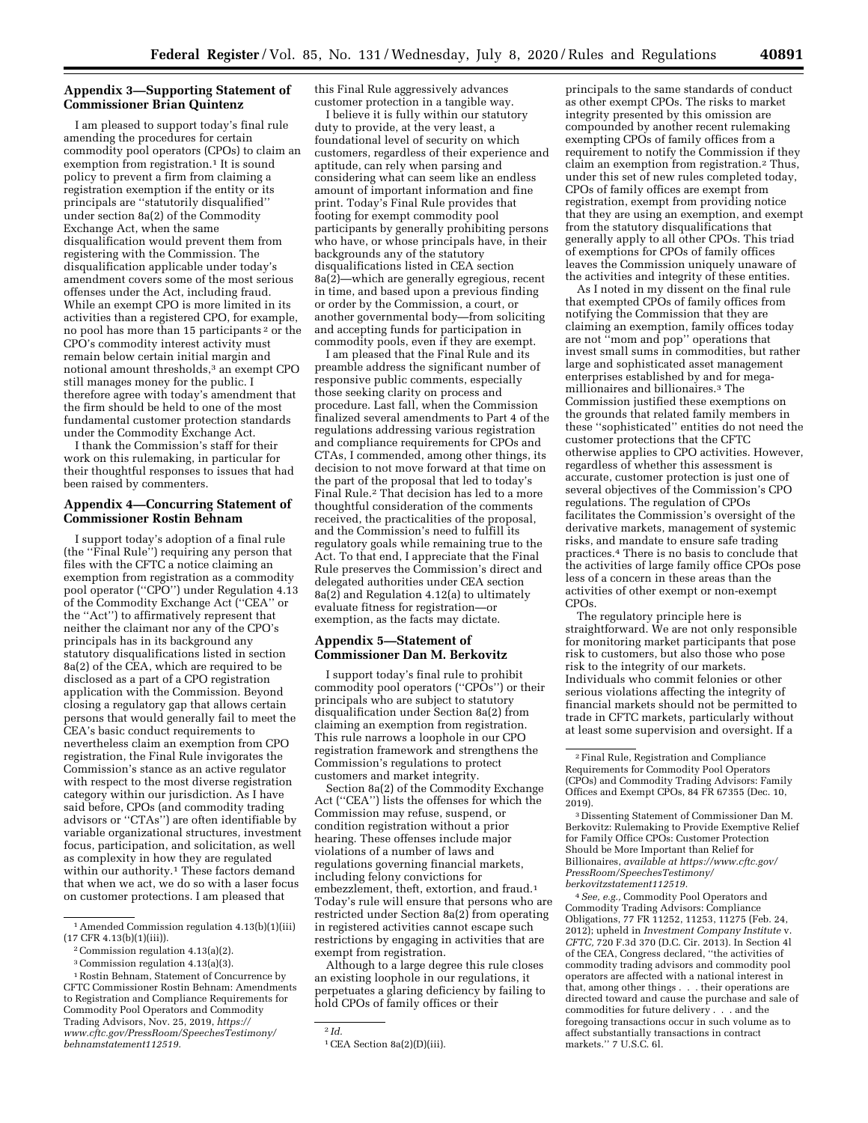# **Appendix 3—Supporting Statement of Commissioner Brian Quintenz**

I am pleased to support today's final rule amending the procedures for certain commodity pool operators (CPOs) to claim an exemption from registration.<sup>1</sup> It is sound policy to prevent a firm from claiming a registration exemption if the entity or its principals are ''statutorily disqualified'' under section 8a(2) of the Commodity Exchange Act, when the same disqualification would prevent them from registering with the Commission. The disqualification applicable under today's amendment covers some of the most serious offenses under the Act, including fraud. While an exempt CPO is more limited in its activities than a registered CPO, for example, no pool has more than 15 participants 2 or the CPO's commodity interest activity must remain below certain initial margin and notional amount thresholds,<sup>3</sup> an exempt CPO still manages money for the public. I therefore agree with today's amendment that the firm should be held to one of the most fundamental customer protection standards under the Commodity Exchange Act.

I thank the Commission's staff for their work on this rulemaking, in particular for their thoughtful responses to issues that had been raised by commenters.

### **Appendix 4—Concurring Statement of Commissioner Rostin Behnam**

I support today's adoption of a final rule (the ''Final Rule'') requiring any person that files with the CFTC a notice claiming an exemption from registration as a commodity pool operator (''CPO'') under Regulation 4.13 of the Commodity Exchange Act (''CEA'' or the ''Act'') to affirmatively represent that neither the claimant nor any of the CPO's principals has in its background any statutory disqualifications listed in section 8a(2) of the CEA, which are required to be disclosed as a part of a CPO registration application with the Commission. Beyond closing a regulatory gap that allows certain persons that would generally fail to meet the CEA's basic conduct requirements to nevertheless claim an exemption from CPO registration, the Final Rule invigorates the Commission's stance as an active regulator with respect to the most diverse registration category within our jurisdiction. As I have said before, CPOs (and commodity trading advisors or ''CTAs'') are often identifiable by variable organizational structures, investment focus, participation, and solicitation, as well as complexity in how they are regulated within our authority.1 These factors demand that when we act, we do so with a laser focus on customer protections. I am pleased that

this Final Rule aggressively advances customer protection in a tangible way.

I believe it is fully within our statutory duty to provide, at the very least, a foundational level of security on which customers, regardless of their experience and aptitude, can rely when parsing and considering what can seem like an endless amount of important information and fine print. Today's Final Rule provides that footing for exempt commodity pool participants by generally prohibiting persons who have, or whose principals have, in their backgrounds any of the statutory disqualifications listed in CEA section 8a(2)—which are generally egregious, recent in time, and based upon a previous finding or order by the Commission, a court, or another governmental body—from soliciting and accepting funds for participation in commodity pools, even if they are exempt.

I am pleased that the Final Rule and its preamble address the significant number of responsive public comments, especially those seeking clarity on process and procedure. Last fall, when the Commission finalized several amendments to Part 4 of the regulations addressing various registration and compliance requirements for CPOs and CTAs, I commended, among other things, its decision to not move forward at that time on the part of the proposal that led to today's Final Rule.2 That decision has led to a more thoughtful consideration of the comments received, the practicalities of the proposal, and the Commission's need to fulfill its regulatory goals while remaining true to the Act. To that end, I appreciate that the Final Rule preserves the Commission's direct and delegated authorities under CEA section  $8a(2)$  and Regulation 4.12(a) to ultimately evaluate fitness for registration—or exemption, as the facts may dictate.

## **Appendix 5—Statement of Commissioner Dan M. Berkovitz**

I support today's final rule to prohibit commodity pool operators (''CPOs'') or their principals who are subject to statutory disqualification under Section 8a(2) from claiming an exemption from registration. This rule narrows a loophole in our CPO registration framework and strengthens the Commission's regulations to protect customers and market integrity.

Section 8a(2) of the Commodity Exchange Act (''CEA'') lists the offenses for which the Commission may refuse, suspend, or condition registration without a prior hearing. These offenses include major violations of a number of laws and regulations governing financial markets, including felony convictions for embezzlement, theft, extortion, and fraud.1 Today's rule will ensure that persons who are restricted under Section 8a(2) from operating in registered activities cannot escape such restrictions by engaging in activities that are exempt from registration.

Although to a large degree this rule closes an existing loophole in our regulations, it perpetuates a glaring deficiency by failing to hold CPOs of family offices or their

principals to the same standards of conduct as other exempt CPOs. The risks to market integrity presented by this omission are compounded by another recent rulemaking exempting CPOs of family offices from a requirement to notify the Commission if they claim an exemption from registration.2 Thus, under this set of new rules completed today, CPOs of family offices are exempt from registration, exempt from providing notice that they are using an exemption, and exempt from the statutory disqualifications that generally apply to all other CPOs. This triad of exemptions for CPOs of family offices leaves the Commission uniquely unaware of the activities and integrity of these entities.

As I noted in my dissent on the final rule that exempted CPOs of family offices from notifying the Commission that they are claiming an exemption, family offices today are not ''mom and pop'' operations that invest small sums in commodities, but rather large and sophisticated asset management enterprises established by and for megamillionaires and billionaires.3 The Commission justified these exemptions on the grounds that related family members in these ''sophisticated'' entities do not need the customer protections that the CFTC otherwise applies to CPO activities. However, regardless of whether this assessment is accurate, customer protection is just one of several objectives of the Commission's CPO regulations. The regulation of CPOs facilitates the Commission's oversight of the derivative markets, management of systemic risks, and mandate to ensure safe trading practices.4 There is no basis to conclude that the activities of large family office CPOs pose less of a concern in these areas than the activities of other exempt or non-exempt CPOs.

The regulatory principle here is straightforward. We are not only responsible for monitoring market participants that pose risk to customers, but also those who pose risk to the integrity of our markets. Individuals who commit felonies or other serious violations affecting the integrity of financial markets should not be permitted to trade in CFTC markets, particularly without at least some supervision and oversight. If a

3 Dissenting Statement of Commissioner Dan M. Berkovitz: Rulemaking to Provide Exemptive Relief for Family Office CPOs: Customer Protection Should be More Important than Relief for Billionaires, *available at [https://www.cftc.gov/](https://www.cftc.gov/PressRoom/SpeechesTestimony/berkovitzstatement112519)  [PressRoom/SpeechesTestimony/](https://www.cftc.gov/PressRoom/SpeechesTestimony/berkovitzstatement112519)  [berkovitzstatement112519.](https://www.cftc.gov/PressRoom/SpeechesTestimony/berkovitzstatement112519)* 

4*See, e.g.,* Commodity Pool Operators and Commodity Trading Advisors: Compliance Obligations, 77 FR 11252, 11253, 11275 (Feb. 24, 2012); upheld in *Investment Company Institute* v. *CFTC,* 720 F.3d 370 (D.C. Cir. 2013). In Section 4l of the CEA, Congress declared, ''the activities of commodity trading advisors and commodity pool operators are affected with a national interest in that, among other things . . . their operations are directed toward and cause the purchase and sale of commodities for future delivery . . . and the foregoing transactions occur in such volume as to affect substantially transactions in contract markets.'' 7 U.S.C. 6l.

<sup>1</sup>Amended Commission regulation 4.13(b)(1)(iii) (17 CFR 4.13(b)(1)(iii)).

<sup>2</sup>Commission regulation 4.13(a)(2).

<sup>3</sup>Commission regulation 4.13(a)(3).

<sup>1</sup>Rostin Behnam, Statement of Concurrence by CFTC Commissioner Rostin Behnam: Amendments to Registration and Compliance Requirements for Commodity Pool Operators and Commodity Trading Advisors, Nov. 25, 2019, *[https://](https://www.cftc.gov/PressRoom/SpeechesTestimony/behnamstatement112519) [www.cftc.gov/PressRoom/SpeechesTestimony/](https://www.cftc.gov/PressRoom/SpeechesTestimony/behnamstatement112519)  [behnamstatement112519.](https://www.cftc.gov/PressRoom/SpeechesTestimony/behnamstatement112519)* 

<sup>2</sup> *Id.* 

<sup>&</sup>lt;sup>1</sup> CEA Section 8a(2)(D)(iii).

<sup>2</sup>Final Rule, Registration and Compliance Requirements for Commodity Pool Operators (CPOs) and Commodity Trading Advisors: Family Offices and Exempt CPOs, 84 FR 67355 (Dec. 10, 2019).